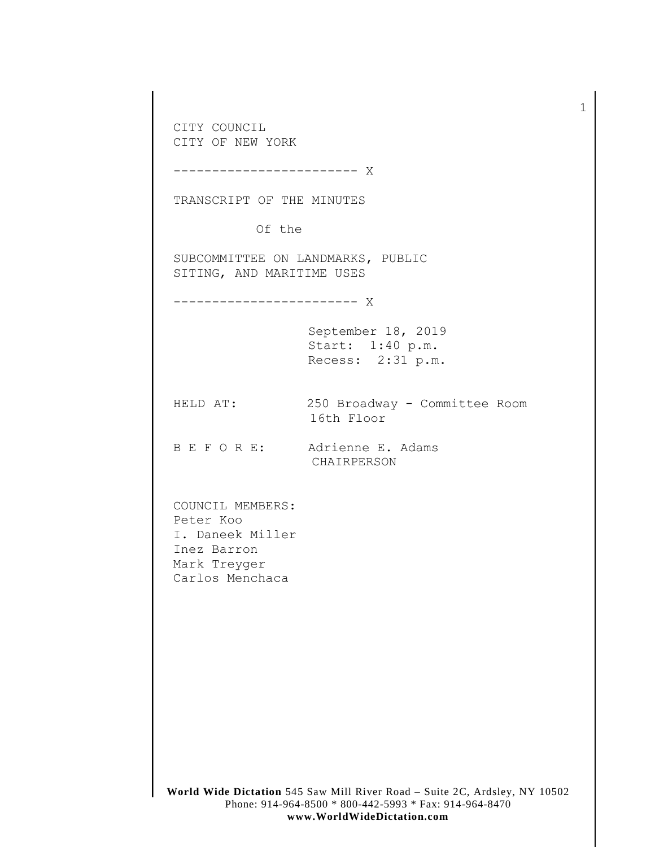**World Wide Dictation** 545 Saw Mill River Road – Suite 2C, Ardsley, NY 10502 Phone: 914-964-8500 \* 800-442-5993 \* Fax: 914-964-8470 CITY COUNCIL CITY OF NEW YORK ------------------------ X TRANSCRIPT OF THE MINUTES Of the SUBCOMMITTEE ON LANDMARKS, PUBLIC SITING, AND MARITIME USES ------------------------ X September 18, 2019 Start: 1:40 p.m. Recess: 2:31 p.m. HELD AT: 250 Broadway - Committee Room 16th Floor B E F O R E: Adrienne E. Adams CHAIRPERSON COUNCIL MEMBERS: Peter Koo I. Daneek Miller Inez Barron Mark Treyger Carlos Menchaca

1

**www.WorldWideDictation.com**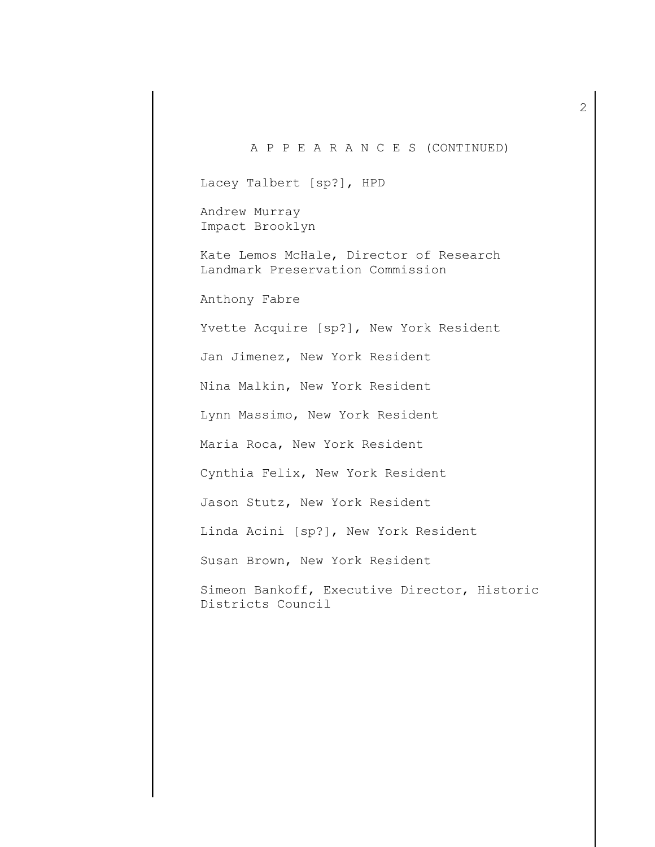## A P P E A R A N C E S (CONTINUED) Lacey Talbert [sp?], HPD Andrew Murray Impact Brooklyn Kate Lemos McHale, Director of Research Landmark Preservation Commission Anthony Fabre Yvette Acquire [sp?], New York Resident Jan Jimenez, New York Resident Nina Malkin, New York Resident Lynn Massimo, New York Resident Maria Roca, New York Resident Cynthia Felix, New York Resident Jason Stutz, New York Resident Linda Acini [sp?], New York Resident Susan Brown, New York Resident Simeon Bankoff, Executive Director, Historic Districts Council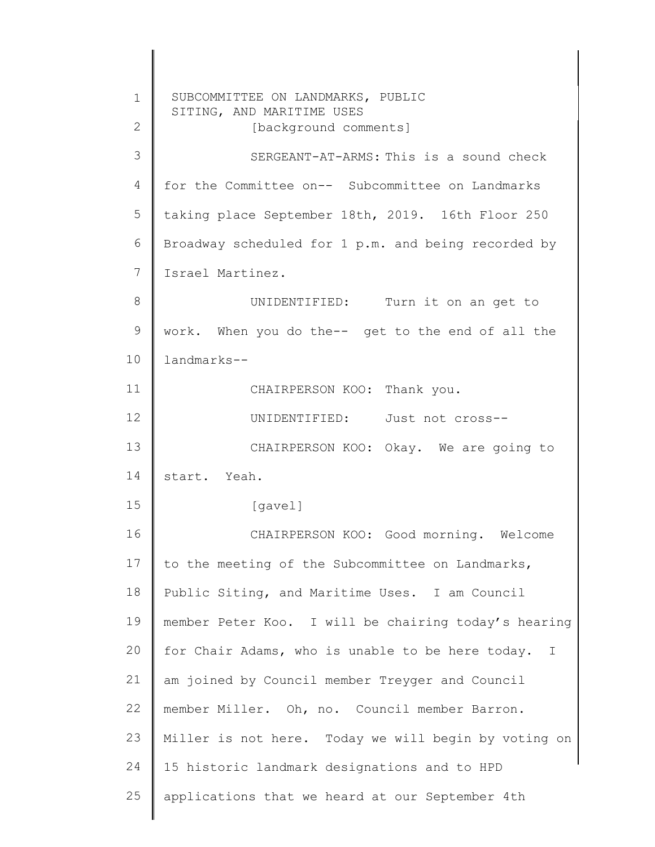1 2 3 4 5 6 7 8 9 10 11 12 13 14 15 16 17 18 19 20 21 22 23 24 25 SUBCOMMITTEE ON LANDMARKS, PUBLIC SITING, AND MARITIME USES [background comments] taking place September 18th, 2019. 16th Floor 250 SERGEANT-AT-ARMS: This is a sound check for the Committee on-- Subcommittee on Landmarks Broadway scheduled for 1 p.m. and being recorded by Israel Martinez. UNIDENTIFIED: Turn it on an get to work. When you do the-- get to the end of all the landmarks-- CHAIRPERSON KOO: Thank you. UNIDENTIFIED: Just not cross-- CHAIRPERSON KOO: Okay. We are going to start. Yeah. [gavel] CHAIRPERSON KOO: Good morning. Welcome to the meeting of the Subcommittee on Landmarks, Public Siting, and Maritime Uses. I am Council member Peter Koo. I will be chairing today's hearing for Chair Adams, who is unable to be here today. I am joined by Council member Treyger and Council member Miller. Oh, no. Council member Barron. Miller is not here. Today we will begin by voting on 15 historic landmark designations and to HPD applications that we heard at our September 4th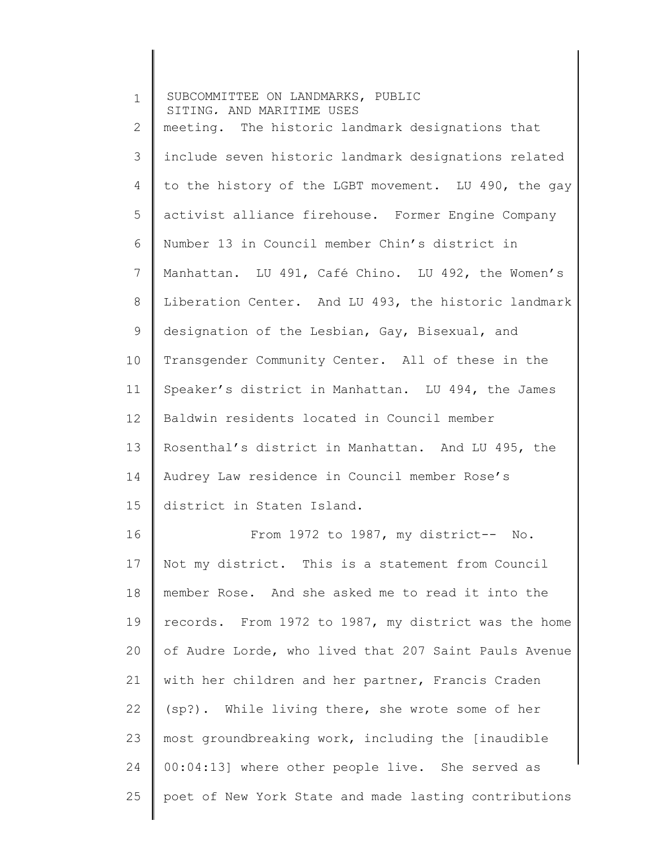| $\mathbf 1$ | SUBCOMMITTEE ON LANDMARKS, PUBLIC<br>SITING, AND MARITIME USES |
|-------------|----------------------------------------------------------------|
| 2           | meeting. The historic landmark designations that               |
| 3           | include seven historic landmark designations related           |
| 4           | to the history of the LGBT movement. LU 490, the gay           |
| 5           | activist alliance firehouse. Former Engine Company             |
| 6           | Number 13 in Council member Chin's district in                 |
| 7           | Manhattan. LU 491, Café Chino. LU 492, the Women's             |
| 8           | Liberation Center. And LU 493, the historic landmark           |
| 9           | designation of the Lesbian, Gay, Bisexual, and                 |
| 10          | Transgender Community Center. All of these in the              |
| 11          | Speaker's district in Manhattan. LU 494, the James             |
| 12          | Baldwin residents located in Council member                    |
| 13          | Rosenthal's district in Manhattan. And LU 495, the             |
| 14          | Audrey Law residence in Council member Rose's                  |
| 15          | district in Staten Island.                                     |
| 16          | From 1972 to 1987, my district-- No.                           |
| 17          | Not my district. This is a statement from Council              |
| 18          | member Rose. And she asked me to read it into the              |
| 19          | records. From 1972 to 1987, my district was the home           |
| 20          | of Audre Lorde, who lived that 207 Saint Pauls Avenue          |
| 21          | with her children and her partner, Francis Craden              |
| 22          | (sp?). While living there, she wrote some of her               |
| 23          | most groundbreaking work, including the [inaudible             |
| 24          | 00:04:13] where other people live. She served as               |
| 25          | poet of New York State and made lasting contributions          |
|             |                                                                |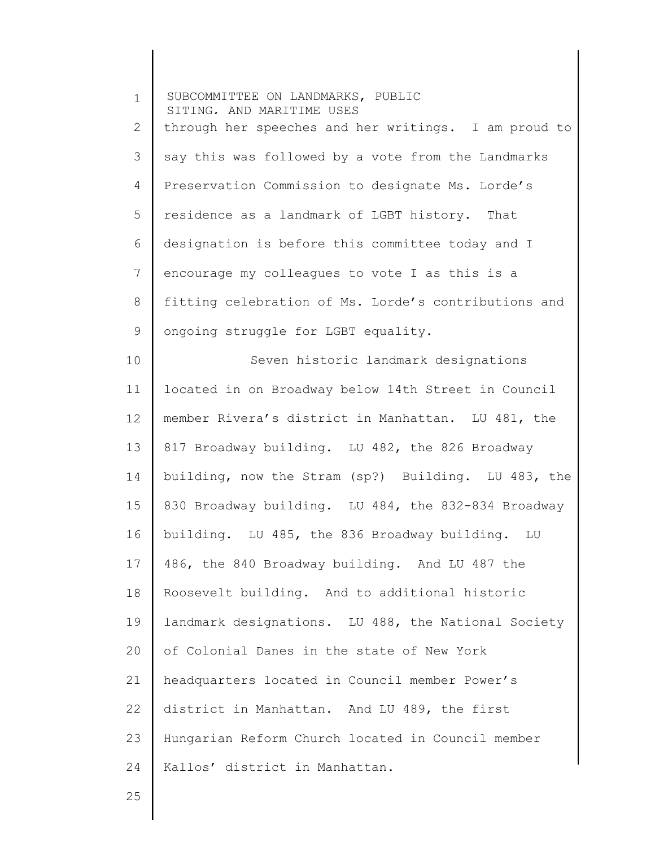1 2 3 4 5 6 7 8 9 10 11 12 13 14 15 16 17 18 19 20 21 22 23 24 SUBCOMMITTEE ON LANDMARKS, PUBLIC SITING, AND MARITIME USES through her speeches and her writings. I am proud to 5 say this was followed by a vote from the Landmarks Preservation Commission to designate Ms. Lorde's residence as a landmark of LGBT history. That designation is before this committee today and I encourage my colleagues to vote I as this is a fitting celebration of Ms. Lorde's contributions and ongoing struggle for LGBT equality. Seven historic landmark designations located in on Broadway below 14th Street in Council member Rivera's district in Manhattan. LU 481, the 817 Broadway building. LU 482, the 826 Broadway building, now the Stram (sp?) Building. LU 483, the 830 Broadway building. LU 484, the 832-834 Broadway building. LU 485, the 836 Broadway building. LU 486, the 840 Broadway building. And LU 487 the Roosevelt building. And to additional historic landmark designations. LU 488, the National Society of Colonial Danes in the state of New York headquarters located in Council member Power's district in Manhattan. And LU 489, the first Hungarian Reform Church located in Council member Kallos' district in Manhattan.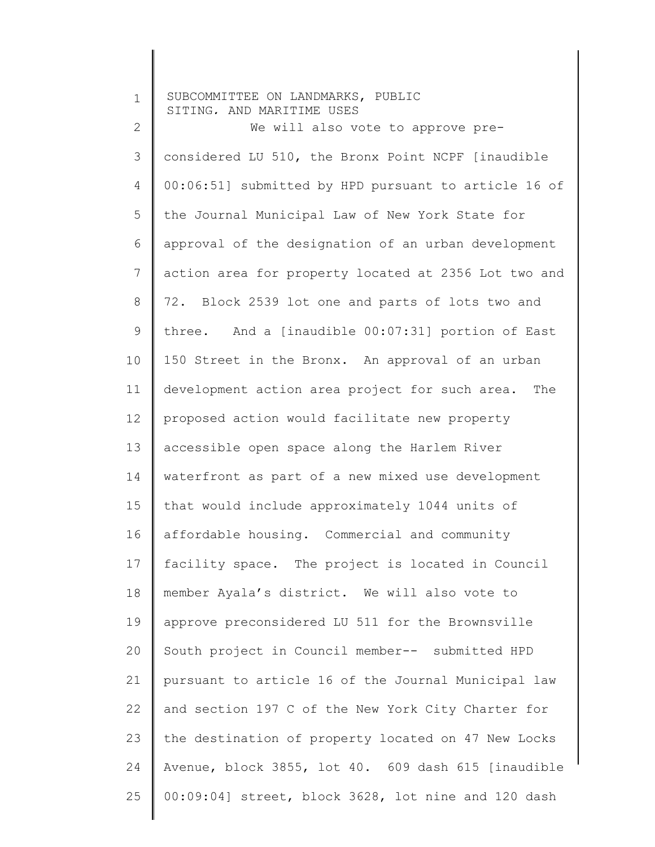| $\mathbf 1$ | SUBCOMMITTEE ON LANDMARKS, PUBLIC<br>SITING, AND MARITIME USES |
|-------------|----------------------------------------------------------------|
| 2           | We will also vote to approve pre-                              |
| 3           | considered LU 510, the Bronx Point NCPF [inaudible             |
| 4           | 00:06:51] submitted by HPD pursuant to article 16 of           |
| 5           | the Journal Municipal Law of New York State for                |
| 6           | approval of the designation of an urban development            |
| 7           | action area for property located at 2356 Lot two and           |
| 8           | 72. Block 2539 lot one and parts of lots two and               |
| 9           | three. And a [inaudible 00:07:31] portion of East              |
| 10          | 150 Street in the Bronx. An approval of an urban               |
| 11          | development action area project for such area. The             |
| 12          | proposed action would facilitate new property                  |
| 13          | accessible open space along the Harlem River                   |
| 14          | waterfront as part of a new mixed use development              |
| 15          | that would include approximately 1044 units of                 |
| 16          | affordable housing. Commercial and community                   |
| 17          | facility space. The project is located in Council              |
| 18          | member Ayala's district. We will also vote to                  |
| 19          | approve preconsidered LU 511 for the Brownsville               |
| 20          | South project in Council member-- submitted HPD                |
| 21          | pursuant to article 16 of the Journal Municipal law            |
| 22          | and section 197 C of the New York City Charter for             |
| 23          | the destination of property located on 47 New Locks            |
| 24          | Avenue, block 3855, lot 40. 609 dash 615 [inaudible            |
| 25          | 00:09:04] street, block 3628, lot nine and 120 dash            |
|             |                                                                |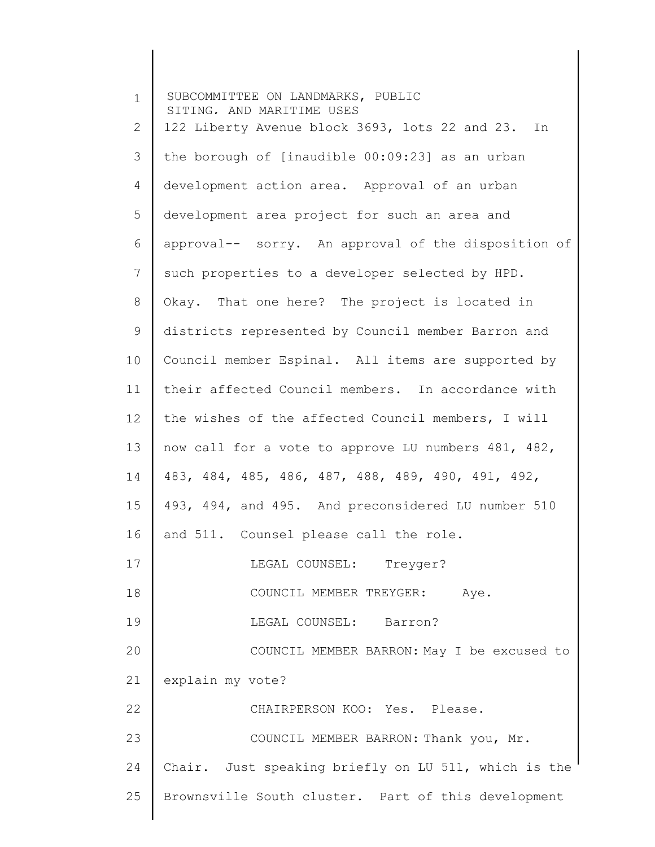| $\mathbf 1$     | SUBCOMMITTEE ON LANDMARKS, PUBLIC<br>SITING, AND MARITIME USES |
|-----------------|----------------------------------------------------------------|
| 2               | 122 Liberty Avenue block 3693, lots 22 and 23. In              |
| 3               | the borough of [inaudible 00:09:23] as an urban                |
| $\overline{4}$  | development action area. Approval of an urban                  |
| 5               | development area project for such an area and                  |
| 6               | approval-- sorry. An approval of the disposition of            |
| 7               | such properties to a developer selected by HPD.                |
| 8               | Okay. That one here? The project is located in                 |
| 9               | districts represented by Council member Barron and             |
| 10              | Council member Espinal. All items are supported by             |
| 11              | their affected Council members. In accordance with             |
| 12              | the wishes of the affected Council members, I will             |
| 13              | now call for a vote to approve LU numbers 481, 482,            |
| 14              | 483, 484, 485, 486, 487, 488, 489, 490, 491, 492,              |
| 15 <sub>1</sub> | 493, 494, and 495. And preconsidered LU number 510             |
| 16              | and 511. Counsel please call the role.                         |
| 17              | LEGAL COUNSEL: Treyger?                                        |
| 18              | COUNCIL MEMBER TREYGER: Aye.                                   |
| 19              | LEGAL COUNSEL: Barron?                                         |
| 20              | COUNCIL MEMBER BARRON: May I be excused to                     |
| 21              | explain my vote?                                               |
| 22              | CHAIRPERSON KOO: Yes. Please.                                  |
| 23              | COUNCIL MEMBER BARRON: Thank you, Mr.                          |
| 24              | Chair. Just speaking briefly on LU 511, which is the           |
| 25              | Brownsville South cluster. Part of this development            |
|                 |                                                                |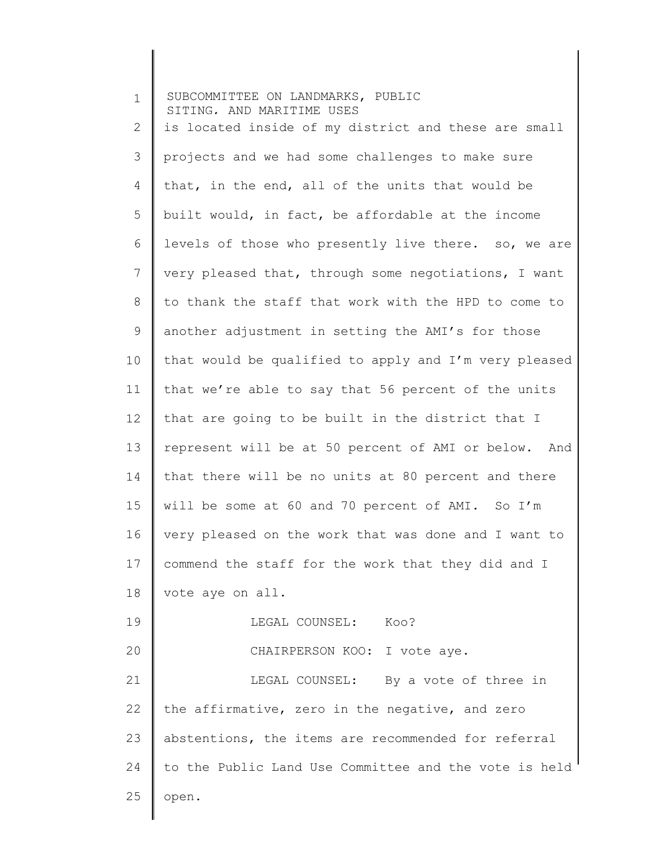| $\mathbf 1$ | SUBCOMMITTEE ON LANDMARKS, PUBLIC<br>SITING, AND MARITIME USES |
|-------------|----------------------------------------------------------------|
| 2           | is located inside of my district and these are small           |
| 3           | projects and we had some challenges to make sure               |
| 4           | that, in the end, all of the units that would be               |
| 5           | built would, in fact, be affordable at the income              |
| 6           | levels of those who presently live there. so, we are           |
| 7           | very pleased that, through some negotiations, I want           |
| 8           | to thank the staff that work with the HPD to come to           |
| 9           | another adjustment in setting the AMI's for those              |
| 10          | that would be qualified to apply and I'm very pleased          |
| 11          | that we're able to say that 56 percent of the units            |
| 12          | that are going to be built in the district that I              |
| 13          | represent will be at 50 percent of AMI or below. And           |
| 14          | that there will be no units at 80 percent and there            |
| 15          | will be some at 60 and 70 percent of AMI. So I'm               |
| 16          | very pleased on the work that was done and I want to           |
| 17          | commend the staff for the work that they did and I             |
| 18          | vote aye on all.                                               |
| 19          | LEGAL COUNSEL:<br>Koo?                                         |
| 20          | CHAIRPERSON KOO: I vote aye.                                   |
| 21          | LEGAL COUNSEL: By a vote of three in                           |
| 22          | the affirmative, zero in the negative, and zero                |
| 23          | abstentions, the items are recommended for referral            |
| 24          | to the Public Land Use Committee and the vote is held          |
| 25          | open.                                                          |
|             |                                                                |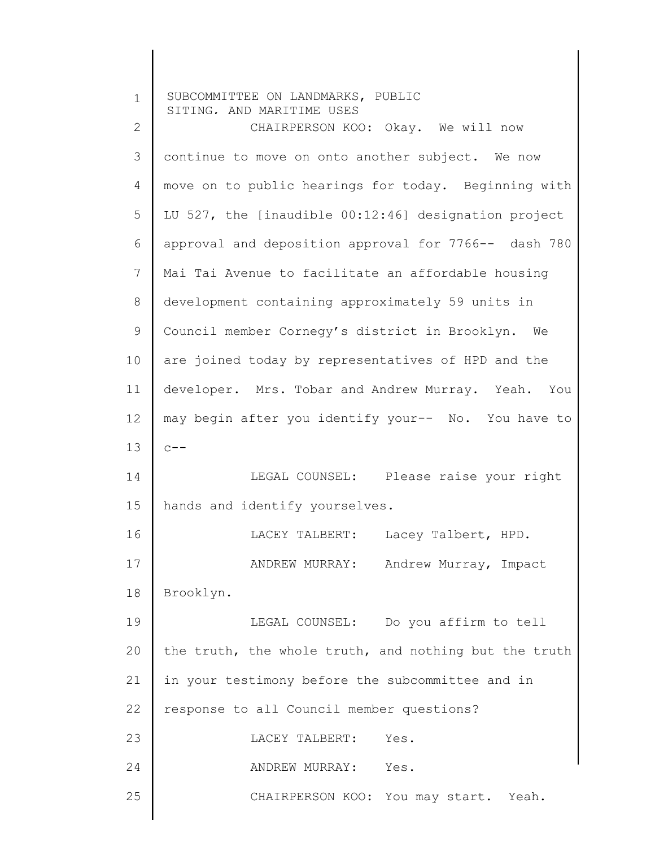| $\mathbf 1$  | SUBCOMMITTEE ON LANDMARKS, PUBLIC<br>SITING, AND MARITIME USES |
|--------------|----------------------------------------------------------------|
| $\mathbf{2}$ | CHAIRPERSON KOO: Okay. We will now                             |
| 3            | continue to move on onto another subject. We now               |
| 4            | move on to public hearings for today. Beginning with           |
| 5            | LU 527, the [inaudible 00:12:46] designation project           |
| 6            | approval and deposition approval for 7766-- dash 780           |
| 7            | Mai Tai Avenue to facilitate an affordable housing             |
| 8            | development containing approximately 59 units in               |
| $\mathsf 9$  | Council member Cornegy's district in Brooklyn. We              |
| 10           | are joined today by representatives of HPD and the             |
| 11           | developer. Mrs. Tobar and Andrew Murray. Yeah. You             |
| 12           | may begin after you identify your-- No. You have to            |
| 13           | $C = -$                                                        |
| 14           | LEGAL COUNSEL: Please raise your right                         |
| 15           | hands and identify yourselves.                                 |
| 16           | LACEY TALBERT:<br>Lacey Talbert, HPD.                          |
| 17           | Andrew Murray, Impact<br>ANDREW MURRAY:                        |
| 18           | Brooklyn.                                                      |
| 19           | LEGAL COUNSEL: Do you affirm to tell                           |
| 20           | the truth, the whole truth, and nothing but the truth          |
| 21           | in your testimony before the subcommittee and in               |
| 22           | response to all Council member questions?                      |
| 23           | Yes.<br>LACEY TALBERT:                                         |
| 24           | ANDREW MURRAY: Yes.                                            |
| 25           | CHAIRPERSON KOO: You may start. Yeah.                          |
|              |                                                                |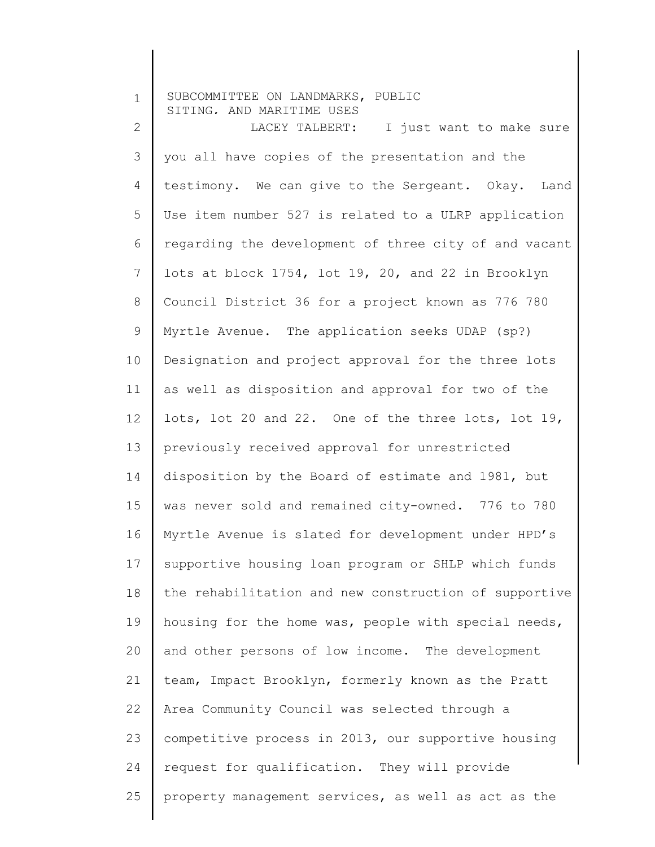| $\mathbf 1$    | SUBCOMMITTEE ON LANDMARKS, PUBLIC<br>SITING, AND MARITIME USES |
|----------------|----------------------------------------------------------------|
| $\overline{2}$ | LACEY TALBERT: I just want to make sure                        |
| 3              | you all have copies of the presentation and the                |
| 4              | testimony. We can give to the Sergeant. Okay. Land             |
| 5              | Use item number 527 is related to a ULRP application           |
| 6              | regarding the development of three city of and vacant          |
| $\overline{7}$ | lots at block 1754, lot 19, 20, and 22 in Brooklyn             |
| $8\,$          | Council District 36 for a project known as 776 780             |
| $\mathsf 9$    | Myrtle Avenue. The application seeks UDAP (sp?)                |
| 10             | Designation and project approval for the three lots            |
| 11             | as well as disposition and approval for two of the             |
| 12             | lots, lot 20 and 22. One of the three lots, lot 19,            |
| 13             | previously received approval for unrestricted                  |
| 14             | disposition by the Board of estimate and 1981, but             |
| 15             | was never sold and remained city-owned. 776 to 780             |
| 16             | Myrtle Avenue is slated for development under HPD's            |
| 17             | supportive housing loan program or SHLP which funds            |
| 18             | the rehabilitation and new construction of supportive          |
| 19             | housing for the home was, people with special needs,           |
| 20             | and other persons of low income. The development               |
| 21             | team, Impact Brooklyn, formerly known as the Pratt             |
| 22             | Area Community Council was selected through a                  |
| 23             | competitive process in 2013, our supportive housing            |
| 24             | request for qualification. They will provide                   |
| 25             | property management services, as well as act as the            |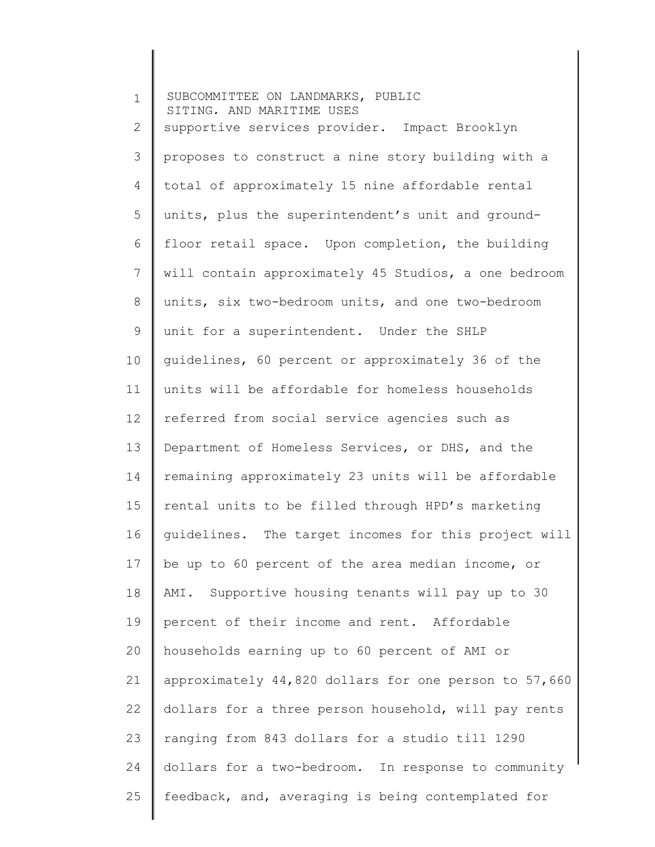| $\mathbf 1$    | SUBCOMMITTEE ON LANDMARKS, PUBLIC<br>SITING, AND MARITIME USES |
|----------------|----------------------------------------------------------------|
| $\mathbf{2}$   | supportive services provider. Impact Brooklyn                  |
| 3              | proposes to construct a nine story building with a             |
| 4              | total of approximately 15 nine affordable rental               |
| 5              | units, plus the superintendent's unit and ground-              |
| 6              | floor retail space. Upon completion, the building              |
| $\overline{7}$ | will contain approximately 45 Studios, a one bedroom           |
| 8              | units, six two-bedroom units, and one two-bedroom              |
| $\mathsf 9$    | unit for a superintendent. Under the SHLP                      |
| 10             | guidelines, 60 percent or approximately 36 of the              |
| 11             | units will be affordable for homeless households               |
| 12             | referred from social service agencies such as                  |
| 13             | Department of Homeless Services, or DHS, and the               |
| 14             | remaining approximately 23 units will be affordable            |
| 15             | rental units to be filled through HPD's marketing              |
| 16             | guidelines. The target incomes for this project will           |
| 17             | be up to 60 percent of the area median income, or              |
| 18             | AMI. Supportive housing tenants will pay up to 30              |
| 19             | percent of their income and rent. Affordable                   |
| 20             | households earning up to 60 percent of AMI or                  |
| 21             | approximately 44,820 dollars for one person to 57,660          |
| 22             | dollars for a three person household, will pay rents           |
| 23             | ranging from 843 dollars for a studio till 1290                |
| 24             | dollars for a two-bedroom. In response to community            |
| 25             | feedback, and, averaging is being contemplated for             |
|                |                                                                |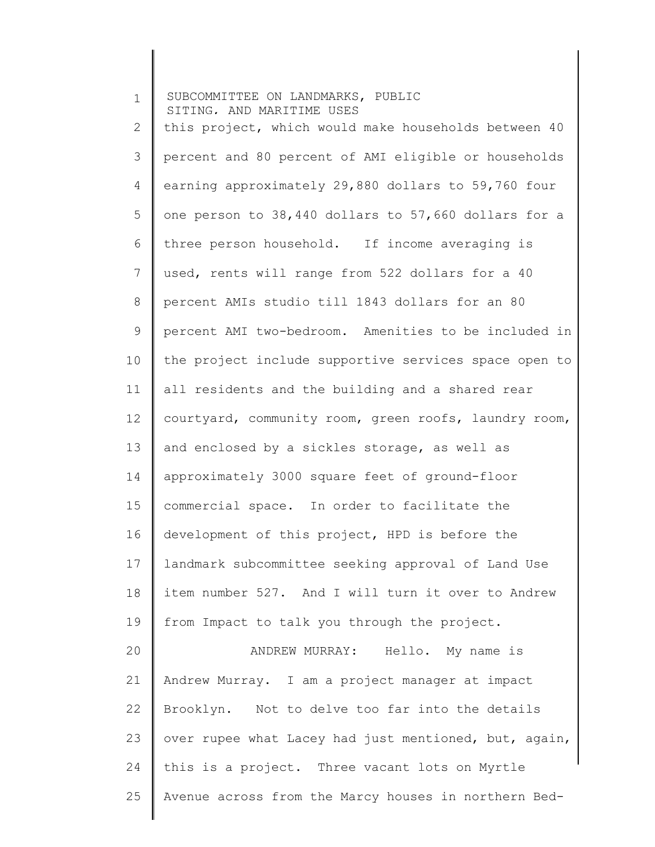1 2 3 4 5 6 7 8 9 10 11 12 13 14 15 16 17 18 19 20 21 22 23 24 25 SUBCOMMITTEE ON LANDMARKS, PUBLIC SITING, AND MARITIME USES this project, which would make households between 40 percent and 80 percent of AMI eligible or households earning approximately 29,880 dollars to 59,760 four one person to 38,440 dollars to 57,660 dollars for a three person household. If income averaging is used, rents will range from 522 dollars for a 40 percent AMIs studio till 1843 dollars for an 80 percent AMI two-bedroom. Amenities to be included in the project include supportive services space open to all residents and the building and a shared rear courtyard, community room, green roofs, laundry room, and enclosed by a sickles storage, as well as approximately 3000 square feet of ground-floor commercial space. In order to facilitate the development of this project, HPD is before the landmark subcommittee seeking approval of Land Use item number 527. And I will turn it over to Andrew from Impact to talk you through the project. ANDREW MURRAY: Hello. My name is Andrew Murray. I am a project manager at impact Brooklyn. Not to delve too far into the details over rupee what Lacey had just mentioned, but, again, this is a project. Three vacant lots on Myrtle Avenue across from the Marcy houses in northern Bed-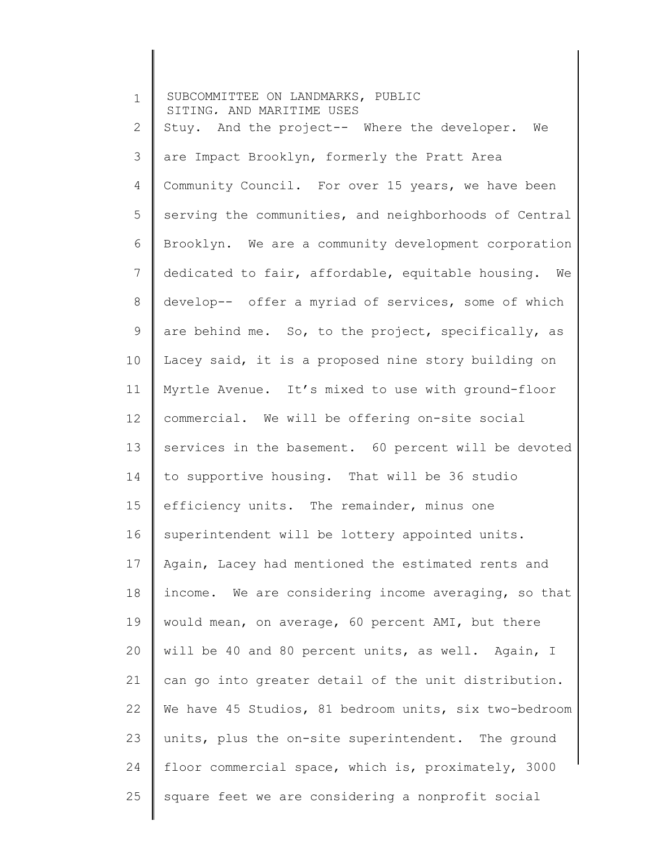1 2 3 4 5 6 7 8 9 10 11 12 13 14 15 16 17 18 19 20 21 22 23 24 25 SUBCOMMITTEE ON LANDMARKS, PUBLIC SITING, AND MARITIME USES Stuy. And the project-- Where the developer. We are Impact Brooklyn, formerly the Pratt Area Community Council. For over 15 years, we have been serving the communities, and neighborhoods of Central Brooklyn. We are a community development corporation dedicated to fair, affordable, equitable housing. We develop-- offer a myriad of services, some of which are behind me. So, to the project, specifically, as Lacey said, it is a proposed nine story building on Myrtle Avenue. It's mixed to use with ground-floor commercial. We will be offering on-site social services in the basement. 60 percent will be devoted to supportive housing. That will be 36 studio efficiency units. The remainder, minus one superintendent will be lottery appointed units. Again, Lacey had mentioned the estimated rents and income. We are considering income averaging, so that would mean, on average, 60 percent AMI, but there will be 40 and 80 percent units, as well. Again, I can go into greater detail of the unit distribution. We have 45 Studios, 81 bedroom units, six two-bedroom units, plus the on-site superintendent. The ground floor commercial space, which is, proximately, 3000 square feet we are considering a nonprofit social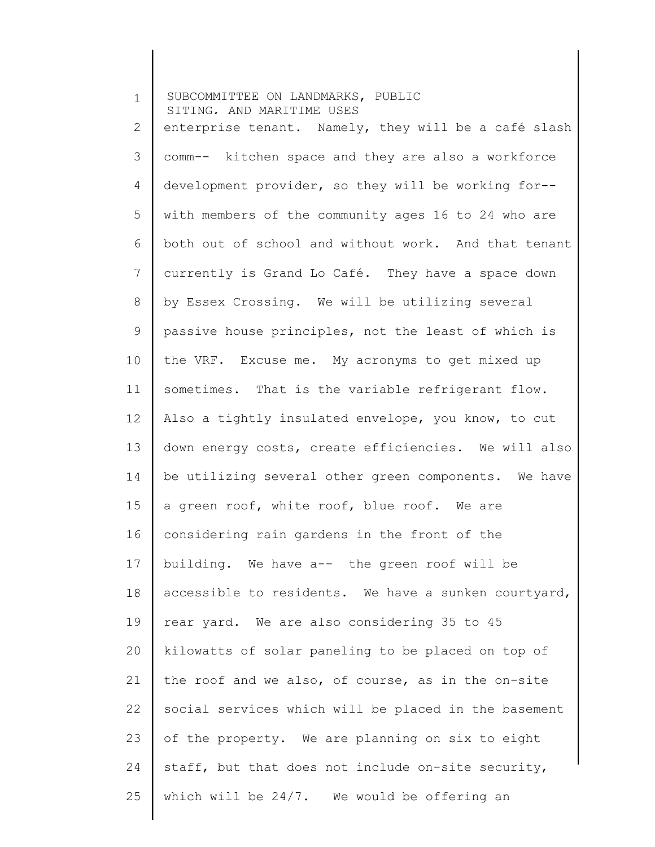1 2 3 4 5 6 7 8 9 10 11 12 13 14 15 16 17 18 19 20 21 22 23 24 25 SUBCOMMITTEE ON LANDMARKS, PUBLIC SITING, AND MARITIME USES enterprise tenant. Namely, they will be a café slash comm-- kitchen space and they are also a workforce development provider, so they will be working for- with members of the community ages 16 to 24 who are both out of school and without work. And that tenant currently is Grand Lo Café. They have a space down by Essex Crossing. We will be utilizing several passive house principles, not the least of which is the VRF. Excuse me. My acronyms to get mixed up sometimes. That is the variable refrigerant flow. Also a tightly insulated envelope, you know, to cut down energy costs, create efficiencies. We will also be utilizing several other green components. We have a green roof, white roof, blue roof. We are considering rain gardens in the front of the building. We have a-- the green roof will be accessible to residents. We have a sunken courtyard, rear yard. We are also considering 35 to 45 kilowatts of solar paneling to be placed on top of the roof and we also, of course, as in the on-site social services which will be placed in the basement of the property. We are planning on six to eight staff, but that does not include on-site security, which will be 24/7. We would be offering an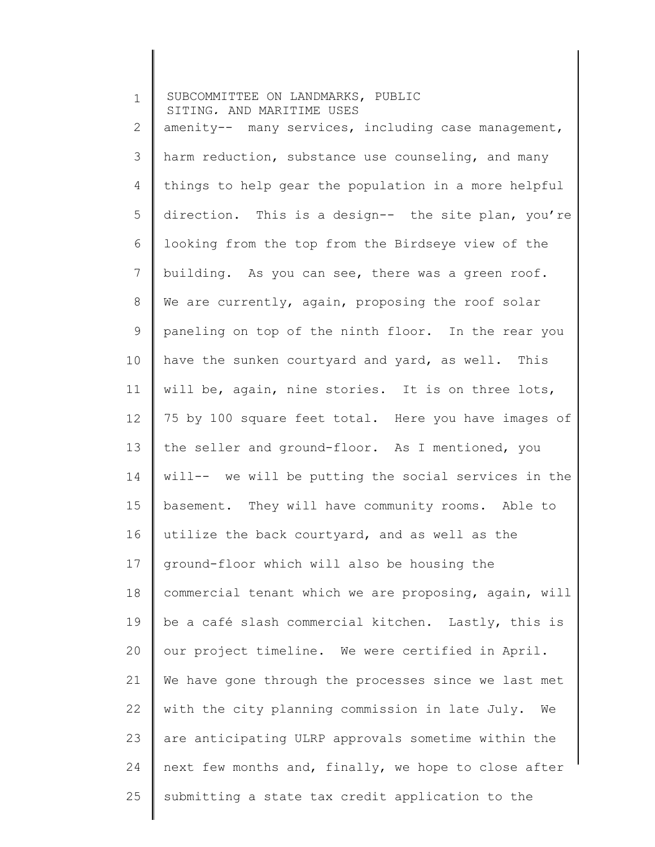| $\mathbf 1$  | SUBCOMMITTEE ON LANDMARKS, PUBLIC<br>SITING. AND MARITIME USES |
|--------------|----------------------------------------------------------------|
| $\mathbf{2}$ | amenity-- many services, including case management,            |
| 3            | harm reduction, substance use counseling, and many             |
| 4            | things to help gear the population in a more helpful           |
| 5            | direction. This is a design-- the site plan, you're            |
| 6            | looking from the top from the Birdseye view of the             |
| 7            | building. As you can see, there was a green roof.              |
| 8            | We are currently, again, proposing the roof solar              |
| 9            | paneling on top of the ninth floor. In the rear you            |
| 10           | have the sunken courtyard and yard, as well. This              |
| 11           | will be, again, nine stories. It is on three lots,             |
| 12           | 75 by 100 square feet total. Here you have images of           |
| 13           | the seller and ground-floor. As I mentioned, you               |
| 14           | will-- we will be putting the social services in the           |
| 15           | basement. They will have community rooms. Able to              |
| 16           | utilize the back courtyard, and as well as the                 |
| 17           | ground-floor which will also be housing the                    |
| 18           | commercial tenant which we are proposing, again, will          |
| 19           | be a café slash commercial kitchen. Lastly, this is            |
| 20           | our project timeline. We were certified in April.              |
| 21           | We have gone through the processes since we last met           |
| 22           | with the city planning commission in late July.<br>We          |
| 23           | are anticipating ULRP approvals sometime within the            |
| 24           | next few months and, finally, we hope to close after           |
| 25           | submitting a state tax credit application to the               |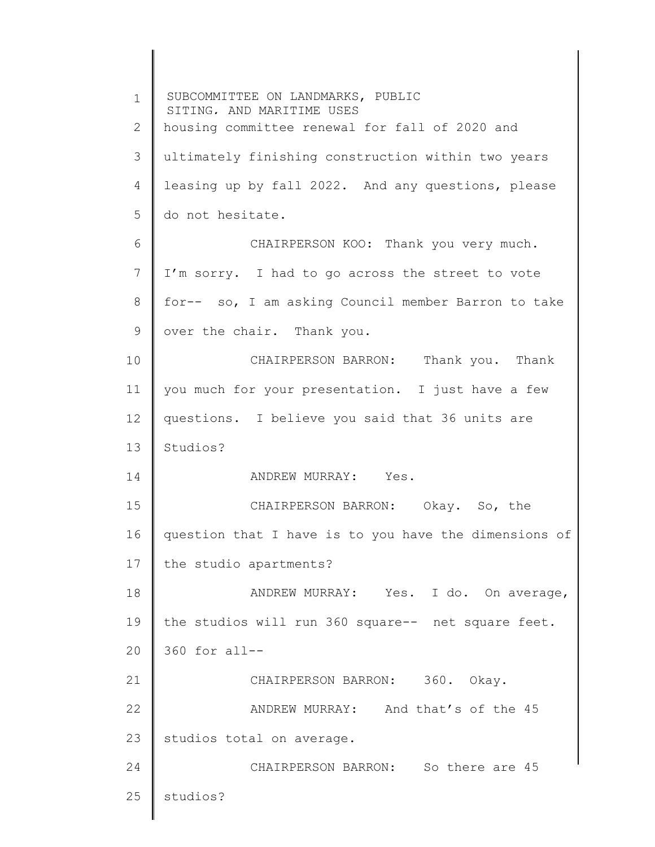1 2 3 4 5 6 7 8 9 10 11 12 13 14 15 16 17 18 19 20 21 22 23 24 25 SUBCOMMITTEE ON LANDMARKS, PUBLIC SITING, AND MARITIME USES housing committee renewal for fall of 2020 and ultimately finishing construction within two years leasing up by fall 2022. And any questions, please do not hesitate. CHAIRPERSON KOO: Thank you very much. I'm sorry. I had to go across the street to vote for-- so, I am asking Council member Barron to take over the chair. Thank you. CHAIRPERSON BARRON: Thank you. Thank you much for your presentation. I just have a few questions. I believe you said that 36 units are Studios? ANDREW MURRAY: Yes. CHAIRPERSON BARRON: Okay. So, the question that I have is to you have the dimensions of the studio apartments? ANDREW MURRAY: Yes. I do. On average, the studios will run 360 square-- net square feet. 360 for all-- CHAIRPERSON BARRON: 360. Okay. ANDREW MURRAY: And that's of the 45 studios total on average. CHAIRPERSON BARRON: So there are 45 studios?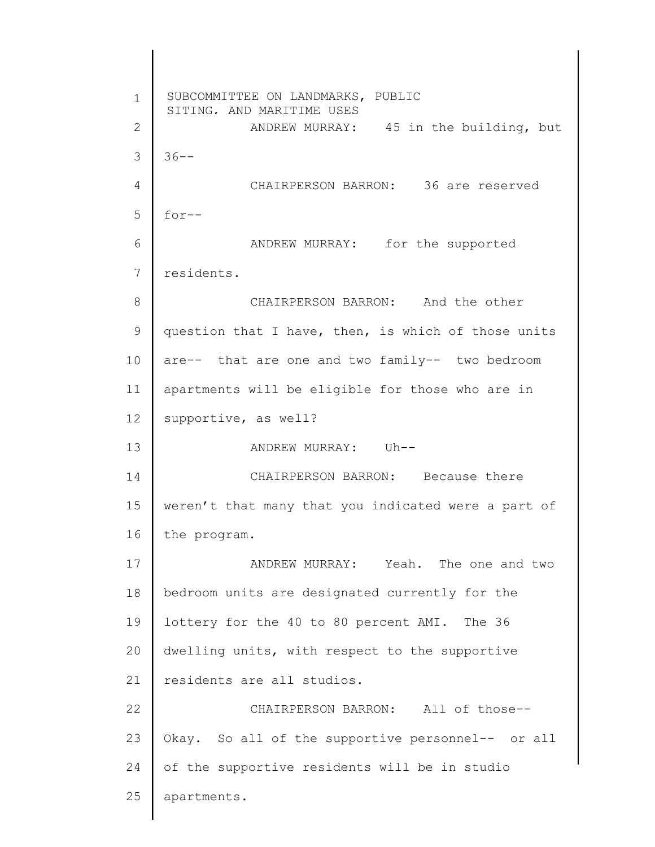1 2 3 4 5 6 7 8 9 10 11 12 13 14 15 16 17 18 19 20 21 22 23 24 25 SUBCOMMITTEE ON LANDMARKS, PUBLIC SITING, AND MARITIME USES ANDREW MURRAY: 45 in the building, but  $36--$ CHAIRPERSON BARRON: 36 are reserved for-- ANDREW MURRAY: for the supported residents. CHAIRPERSON BARRON: And the other question that I have, then, is which of those units are-- that are one and two family-- two bedroom apartments will be eligible for those who are in supportive, as well? ANDREW MURRAY: Uh-- CHAIRPERSON BARRON: Because there weren't that many that you indicated were a part of the program. ANDREW MURRAY: Yeah. The one and two bedroom units are designated currently for the lottery for the 40 to 80 percent AMI. The 36 dwelling units, with respect to the supportive residents are all studios. CHAIRPERSON BARRON: All of those-- Okay. So all of the supportive personnel-- or all of the supportive residents will be in studio apartments.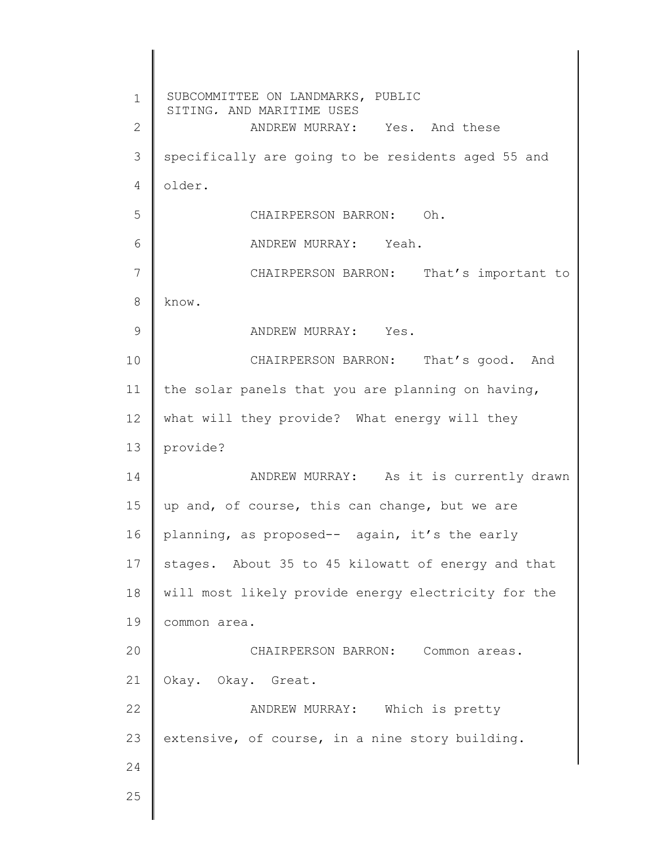1 2 3 4 5 6 7 8 9 10 11 12 13 14 15 16 17 18 19 20 21 22 23 24 25 SUBCOMMITTEE ON LANDMARKS, PUBLIC SITING, AND MARITIME USES ANDREW MURRAY: Yes. And these specifically are going to be residents aged 55 and older. CHAIRPERSON BARRON: Oh. ANDREW MURRAY: Yeah. CHAIRPERSON BARRON: That's important to know. ANDREW MURRAY: Yes. CHAIRPERSON BARRON: That's good. And the solar panels that you are planning on having, what will they provide? What energy will they provide? ANDREW MURRAY: As it is currently drawn up and, of course, this can change, but we are planning, as proposed-- again, it's the early stages. About 35 to 45 kilowatt of energy and that will most likely provide energy electricity for the common area. CHAIRPERSON BARRON: Common areas. Okay. Okay. Great. ANDREW MURRAY: Which is pretty extensive, of course, in a nine story building.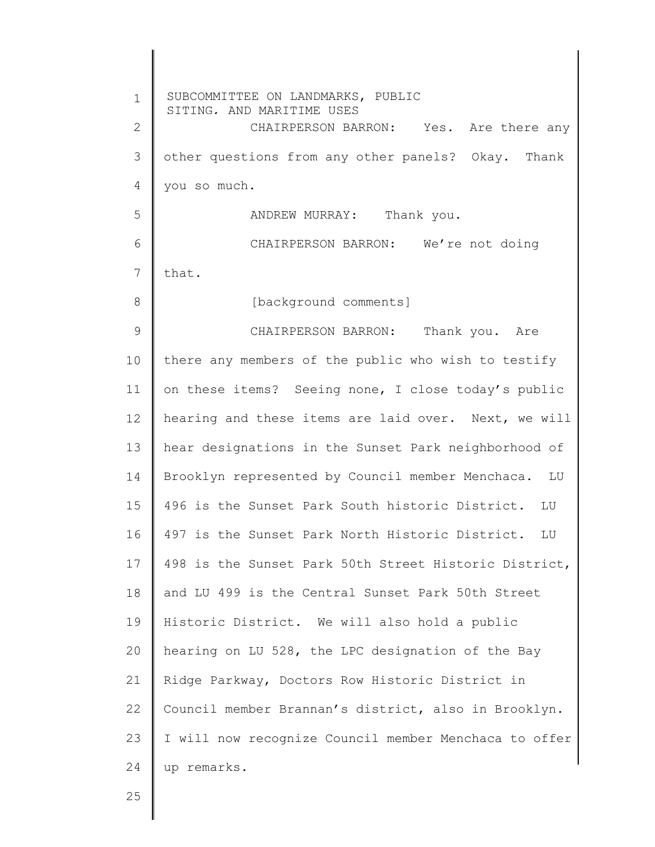1 2 3 4 5 6 7 8 9 10 11 12 13 14 15 16 17 18 19 20 21 22 23 24 SUBCOMMITTEE ON LANDMARKS, PUBLIC SITING, AND MARITIME USES CHAIRPERSON BARRON: Yes. Are there any other questions from any other panels? Okay. Thank you so much. ANDREW MURRAY: Thank you. CHAIRPERSON BARRON: We're not doing that. [background comments] CHAIRPERSON BARRON: Thank you. Are there any members of the public who wish to testify on these items? Seeing none, I close today's public hearing and these items are laid over. Next, we will hear designations in the Sunset Park neighborhood of Brooklyn represented by Council member Menchaca. LU 496 is the Sunset Park South historic District. LU 497 is the Sunset Park North Historic District. LU 498 is the Sunset Park 50th Street Historic District, and LU 499 is the Central Sunset Park 50th Street Historic District. We will also hold a public hearing on LU 528, the LPC designation of the Bay Ridge Parkway, Doctors Row Historic District in Council member Brannan's district, also in Brooklyn. I will now recognize Council member Menchaca to offer up remarks.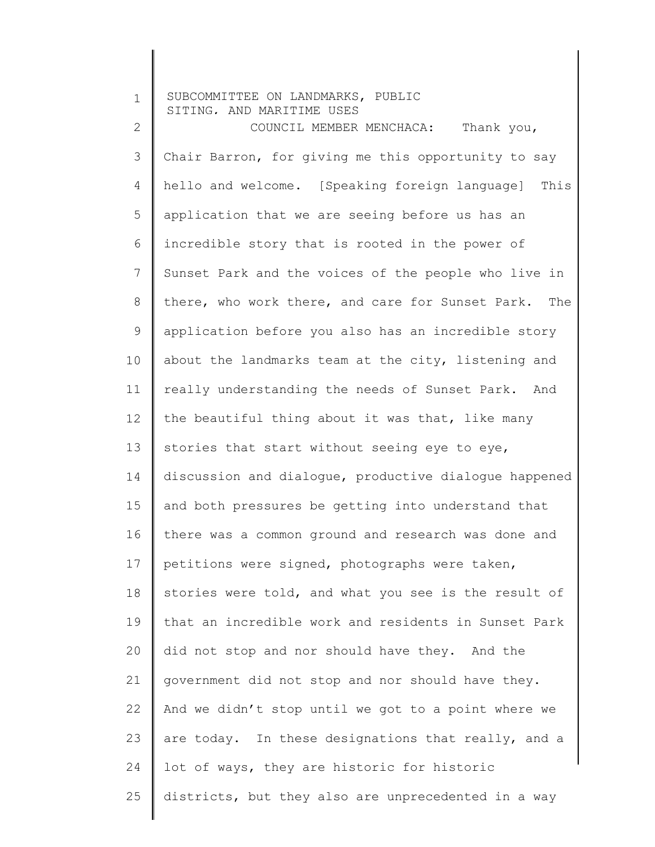| $\mathbf 1$  | SUBCOMMITTEE ON LANDMARKS, PUBLIC<br>SITING, AND MARITIME USES |
|--------------|----------------------------------------------------------------|
| $\mathbf{2}$ | COUNCIL MEMBER MENCHACA:<br>Thank you,                         |
| 3            | Chair Barron, for giving me this opportunity to say            |
| 4            | hello and welcome. [Speaking foreign language]<br>This         |
| 5            | application that we are seeing before us has an                |
| 6            | incredible story that is rooted in the power of                |
| 7            | Sunset Park and the voices of the people who live in           |
| 8            | there, who work there, and care for Sunset Park.<br>The        |
| 9            | application before you also has an incredible story            |
| 10           | about the landmarks team at the city, listening and            |
| 11           | really understanding the needs of Sunset Park. And             |
| 12           | the beautiful thing about it was that, like many               |
| 13           | stories that start without seeing eye to eye,                  |
| 14           | discussion and dialogue, productive dialogue happened          |
| 15           | and both pressures be getting into understand that             |
| 16           | there was a common ground and research was done and            |
| 17           | petitions were signed, photographs were taken,                 |
| 18           | stories were told, and what you see is the result of           |
| 19           | that an incredible work and residents in Sunset Park           |
| 20           | did not stop and nor should have they. And the                 |
| 21           | government did not stop and nor should have they.              |
| 22           | And we didn't stop until we got to a point where we            |
| 23           | are today. In these designations that really, and a            |
| 24           | lot of ways, they are historic for historic                    |
| 25           | districts, but they also are unprecedented in a way            |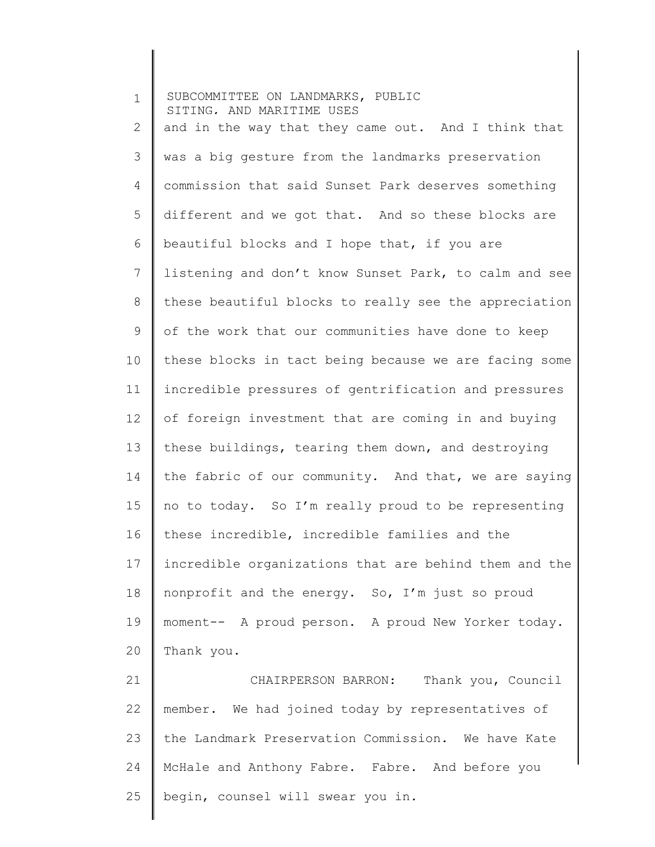1 2 3 4 5 6 7 8 9 10 11 12 13 14 15 16 17 18 19 20 21 SUBCOMMITTEE ON LANDMARKS, PUBLIC SITING, AND MARITIME USES and in the way that they came out. And I think that was a big gesture from the landmarks preservation commission that said Sunset Park deserves something different and we got that. And so these blocks are beautiful blocks and I hope that, if you are listening and don't know Sunset Park, to calm and see these beautiful blocks to really see the appreciation of the work that our communities have done to keep these blocks in tact being because we are facing some incredible pressures of gentrification and pressures of foreign investment that are coming in and buying these buildings, tearing them down, and destroying the fabric of our community. And that, we are saying no to today. So I'm really proud to be representing these incredible, incredible families and the incredible organizations that are behind them and the nonprofit and the energy. So, I'm just so proud moment-- A proud person. A proud New Yorker today. Thank you. CHAIRPERSON BARRON: Thank you, Council

22 23 24 25 member. We had joined today by representatives of the Landmark Preservation Commission. We have Kate McHale and Anthony Fabre. Fabre. And before you begin, counsel will swear you in.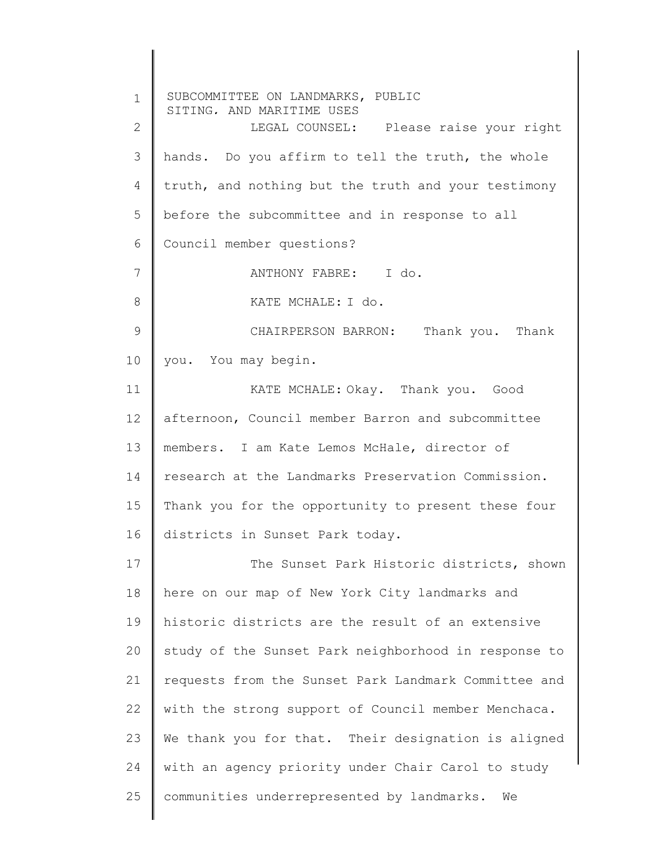1 2 3 4 5 6 7 8 9 10 11 12 13 14 15 16 17 18 19 20 21 22 23 24 25 SUBCOMMITTEE ON LANDMARKS, PUBLIC SITING, AND MARITIME USES LEGAL COUNSEL: Please raise your right hands. Do you affirm to tell the truth, the whole truth, and nothing but the truth and your testimony before the subcommittee and in response to all Council member questions? ANTHONY FABRE: I do. KATE MCHALE: I do. CHAIRPERSON BARRON: Thank you. Thank you. You may begin. KATE MCHALE: Okay. Thank you. Good afternoon, Council member Barron and subcommittee members. I am Kate Lemos McHale, director of research at the Landmarks Preservation Commission. Thank you for the opportunity to present these four districts in Sunset Park today. The Sunset Park Historic districts, shown here on our map of New York City landmarks and historic districts are the result of an extensive study of the Sunset Park neighborhood in response to requests from the Sunset Park Landmark Committee and with the strong support of Council member Menchaca. We thank you for that. Their designation is aligned with an agency priority under Chair Carol to study communities underrepresented by landmarks. We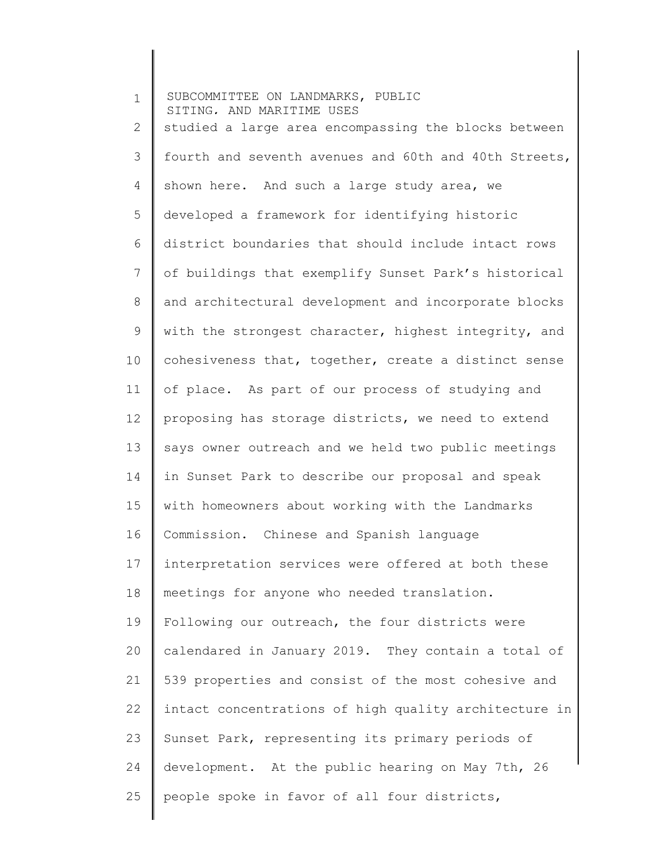| $\mathbf 1$ | SUBCOMMITTEE ON LANDMARKS, PUBLIC<br>SITING, AND MARITIME USES |
|-------------|----------------------------------------------------------------|
| 2           | studied a large area encompassing the blocks between           |
| 3           | fourth and seventh avenues and 60th and 40th Streets,          |
| 4           | shown here. And such a large study area, we                    |
| 5           | developed a framework for identifying historic                 |
| 6           | district boundaries that should include intact rows            |
| 7           | of buildings that exemplify Sunset Park's historical           |
| 8           | and architectural development and incorporate blocks           |
| $\mathsf 9$ | with the strongest character, highest integrity, and           |
| 10          | cohesiveness that, together, create a distinct sense           |
| 11          | of place. As part of our process of studying and               |
| 12          | proposing has storage districts, we need to extend             |
| 13          | says owner outreach and we held two public meetings            |
| 14          | in Sunset Park to describe our proposal and speak              |
| 15          | with homeowners about working with the Landmarks               |
| 16          | Commission. Chinese and Spanish language                       |
| 17          | interpretation services were offered at both these             |
| 18          | meetings for anyone who needed translation.                    |
| 19          | Following our outreach, the four districts were                |
| 20          | calendared in January 2019. They contain a total of            |
| 21          | 539 properties and consist of the most cohesive and            |
| 22          | intact concentrations of high quality architecture in          |
| 23          | Sunset Park, representing its primary periods of               |
| 24          | development. At the public hearing on May 7th, 26              |
| 25          | people spoke in favor of all four districts,                   |
|             |                                                                |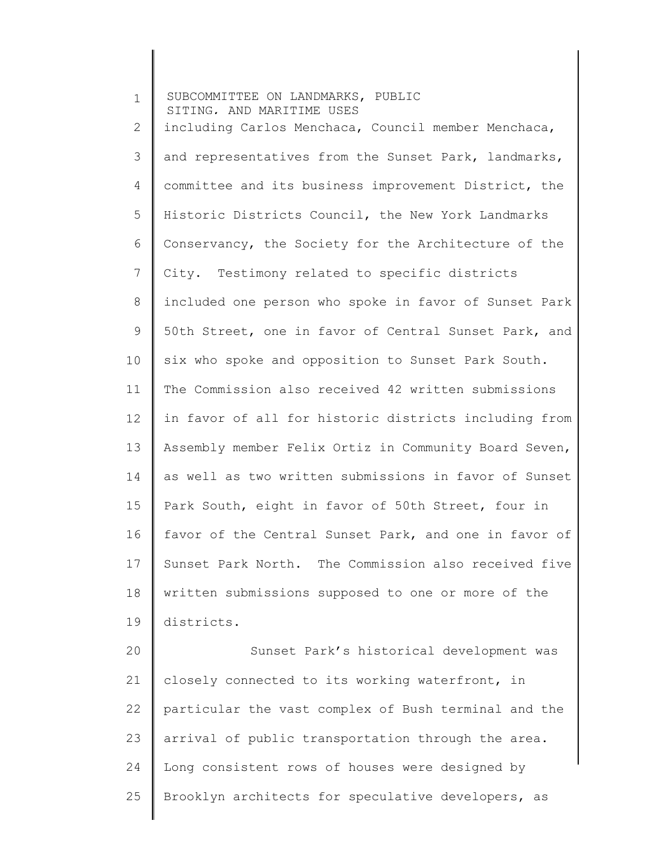1 2 3 4 5 6 7 8 9 10 11 12 13 14 15 16 17 18 19 20 21 22 23 24 25 SUBCOMMITTEE ON LANDMARKS, PUBLIC SITING, AND MARITIME USES including Carlos Menchaca, Council member Menchaca, and representatives from the Sunset Park, landmarks, committee and its business improvement District, the Historic Districts Council, the New York Landmarks Conservancy, the Society for the Architecture of the City. Testimony related to specific districts included one person who spoke in favor of Sunset Park 50th Street, one in favor of Central Sunset Park, and six who spoke and opposition to Sunset Park South. The Commission also received 42 written submissions in favor of all for historic districts including from Assembly member Felix Ortiz in Community Board Seven, as well as two written submissions in favor of Sunset Park South, eight in favor of 50th Street, four in favor of the Central Sunset Park, and one in favor of Sunset Park North. The Commission also received five written submissions supposed to one or more of the districts. Sunset Park's historical development was closely connected to its working waterfront, in particular the vast complex of Bush terminal and the arrival of public transportation through the area. Long consistent rows of houses were designed by Brooklyn architects for speculative developers, as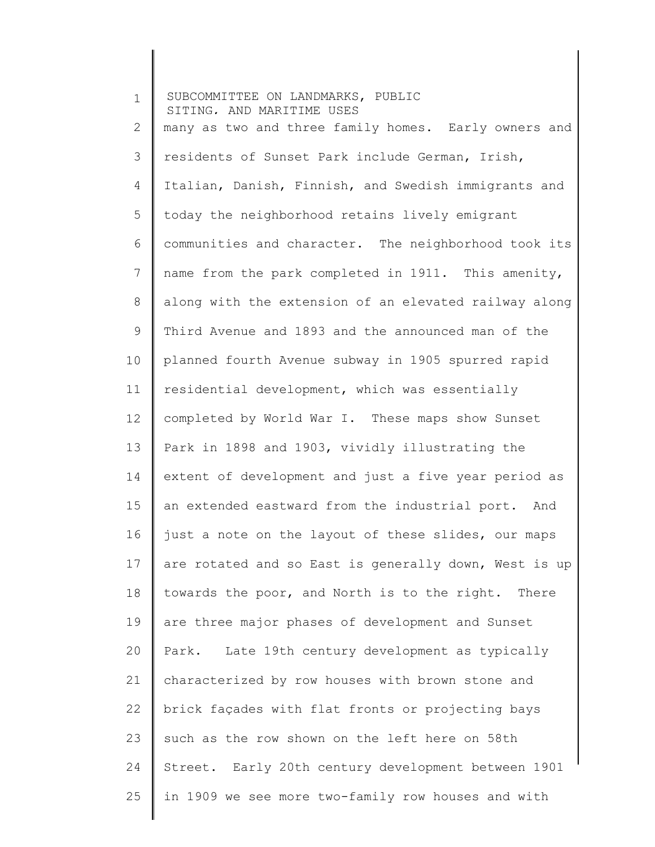1 2 3 4 5 6 7 8 9 10 11 12 13 14 15 16 17 18 19 20 21 22 23 24 25 SUBCOMMITTEE ON LANDMARKS, PUBLIC SITING, AND MARITIME USES many as two and three family homes. Early owners and residents of Sunset Park include German, Irish, Italian, Danish, Finnish, and Swedish immigrants and today the neighborhood retains lively emigrant communities and character. The neighborhood took its name from the park completed in 1911. This amenity, along with the extension of an elevated railway along Third Avenue and 1893 and the announced man of the planned fourth Avenue subway in 1905 spurred rapid residential development, which was essentially completed by World War I. These maps show Sunset Park in 1898 and 1903, vividly illustrating the extent of development and just a five year period as an extended eastward from the industrial port. And just a note on the layout of these slides, our maps are rotated and so East is generally down, West is up towards the poor, and North is to the right. There are three major phases of development and Sunset Park. Late 19th century development as typically characterized by row houses with brown stone and brick façades with flat fronts or projecting bays such as the row shown on the left here on 58th Street. Early 20th century development between 1901 in 1909 we see more two-family row houses and with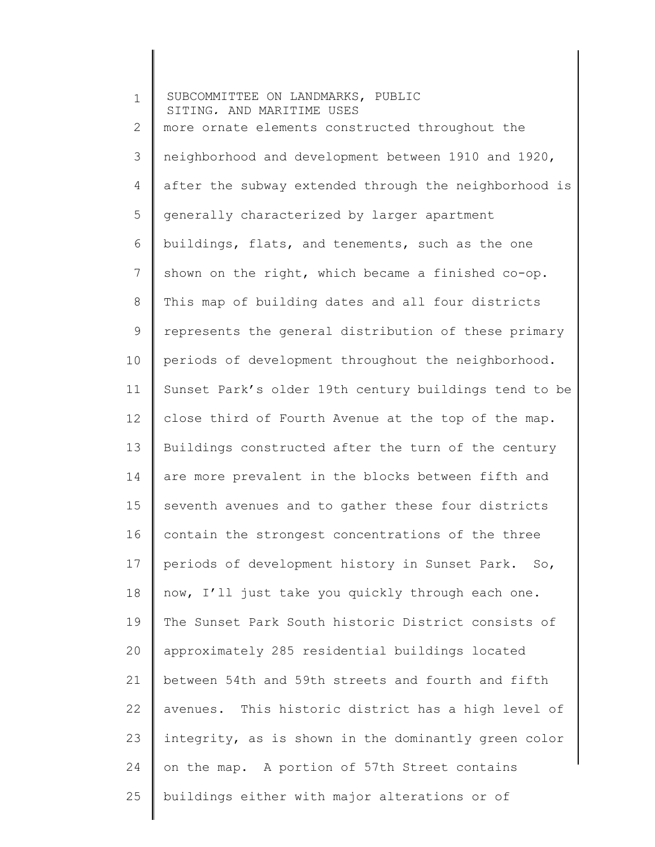1 2 3 4 5 6 7 8 9 10 11 12 13 14 15 16 17 18 19 20 21 22 23 24 25 SUBCOMMITTEE ON LANDMARKS, PUBLIC SITING, AND MARITIME USES more ornate elements constructed throughout the neighborhood and development between 1910 and 1920, after the subway extended through the neighborhood is generally characterized by larger apartment buildings, flats, and tenements, such as the one shown on the right, which became a finished co-op. This map of building dates and all four districts represents the general distribution of these primary periods of development throughout the neighborhood. Sunset Park's older 19th century buildings tend to be close third of Fourth Avenue at the top of the map. Buildings constructed after the turn of the century are more prevalent in the blocks between fifth and seventh avenues and to gather these four districts contain the strongest concentrations of the three periods of development history in Sunset Park. So, now, I'll just take you quickly through each one. The Sunset Park South historic District consists of approximately 285 residential buildings located between 54th and 59th streets and fourth and fifth avenues. This historic district has a high level of integrity, as is shown in the dominantly green color on the map. A portion of 57th Street contains buildings either with major alterations or of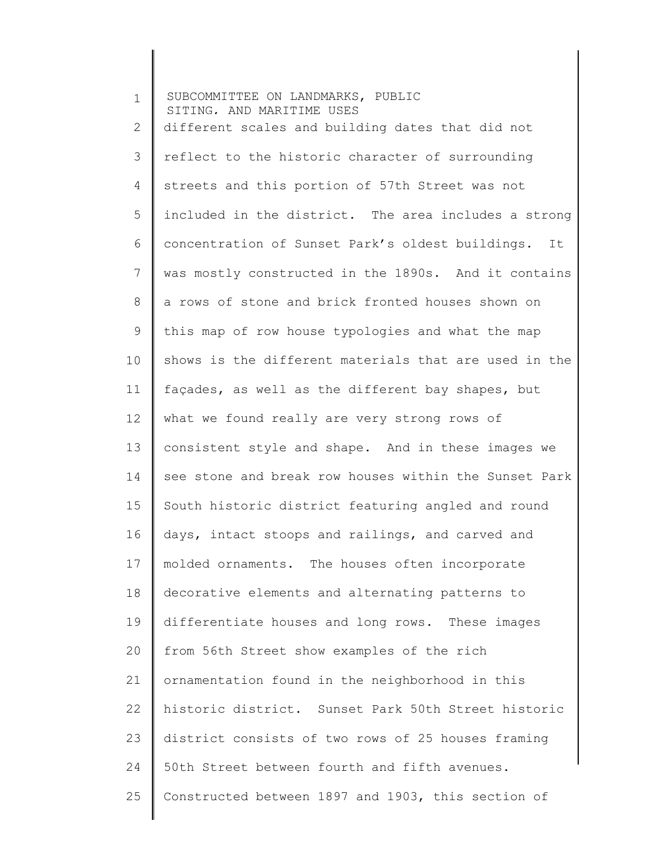1 2 3 4 5 6 7 8 9 10 11 12 13 14 15 16 17 18 19 20 21 22 23 24 25 SUBCOMMITTEE ON LANDMARKS, PUBLIC SITING, AND MARITIME USES different scales and building dates that did not reflect to the historic character of surrounding streets and this portion of 57th Street was not included in the district. The area includes a strong concentration of Sunset Park's oldest buildings. It was mostly constructed in the 1890s. And it contains a rows of stone and brick fronted houses shown on this map of row house typologies and what the map shows is the different materials that are used in the façades, as well as the different bay shapes, but what we found really are very strong rows of consistent style and shape. And in these images we see stone and break row houses within the Sunset Park South historic district featuring angled and round days, intact stoops and railings, and carved and molded ornaments. The houses often incorporate decorative elements and alternating patterns to differentiate houses and long rows. These images from 56th Street show examples of the rich ornamentation found in the neighborhood in this historic district. Sunset Park 50th Street historic district consists of two rows of 25 houses framing 50th Street between fourth and fifth avenues. Constructed between 1897 and 1903, this section of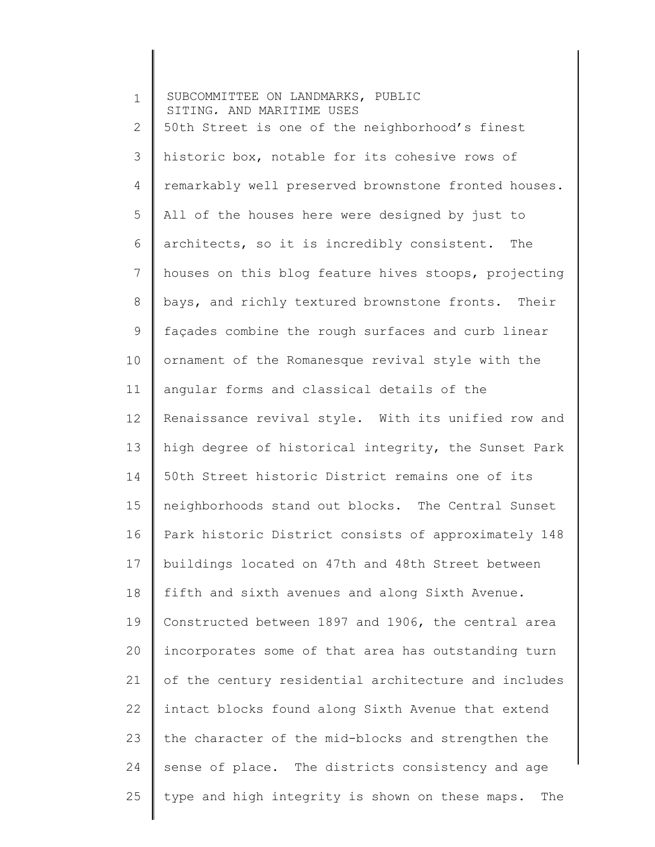| $\mathbf 1$ | SUBCOMMITTEE ON LANDMARKS, PUBLIC<br>SITING, AND MARITIME USES |
|-------------|----------------------------------------------------------------|
| 2           | 50th Street is one of the neighborhood's finest                |
| 3           | historic box, notable for its cohesive rows of                 |
| 4           | remarkably well preserved brownstone fronted houses.           |
| 5           | All of the houses here were designed by just to                |
| 6           | architects, so it is incredibly consistent. The                |
| 7           | houses on this blog feature hives stoops, projecting           |
| $8\,$       | bays, and richly textured brownstone fronts. Their             |
| $\mathsf 9$ | façades combine the rough surfaces and curb linear             |
| 10          | ornament of the Romanesque revival style with the              |
| 11          | angular forms and classical details of the                     |
| 12          | Renaissance revival style. With its unified row and            |
| 13          | high degree of historical integrity, the Sunset Park           |
| 14          | 50th Street historic District remains one of its               |
| 15          | neighborhoods stand out blocks. The Central Sunset             |
| 16          | Park historic District consists of approximately 148           |
| 17          | buildings located on 47th and 48th Street between              |
| 18          | fifth and sixth avenues and along Sixth Avenue.                |
| 19          | Constructed between 1897 and 1906, the central area            |
| 20          | incorporates some of that area has outstanding turn            |
| 21          | of the century residential architecture and includes           |
| 22          | intact blocks found along Sixth Avenue that extend             |
| 23          | the character of the mid-blocks and strengthen the             |
| 24          | sense of place. The districts consistency and age              |
| 25          | type and high integrity is shown on these maps.<br>The         |
|             |                                                                |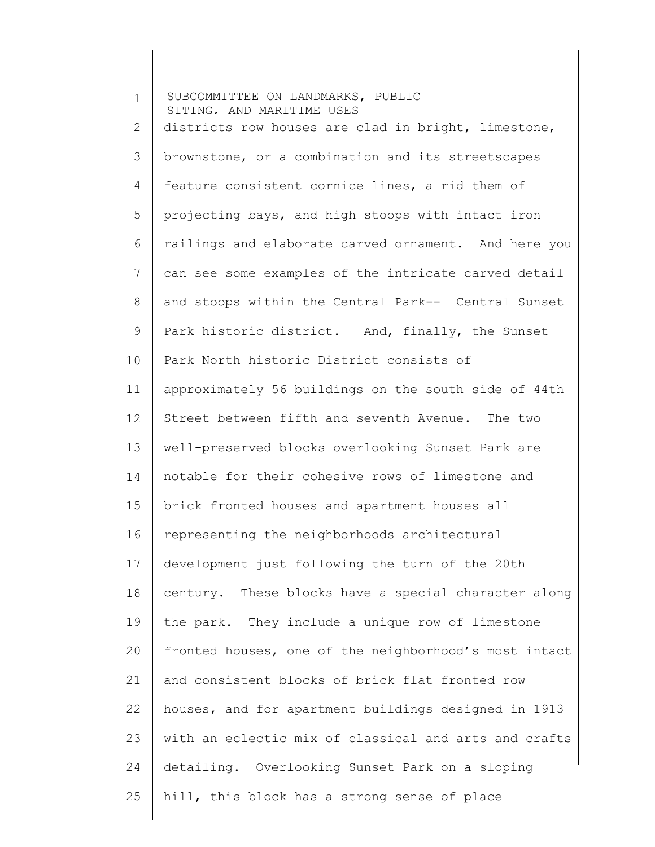1 2 3 4 5 6 7 8 9 10 11 12 13 14 15 16 17 18 19 20 21 22 23 24 25 SUBCOMMITTEE ON LANDMARKS, PUBLIC SITING, AND MARITIME USES districts row houses are clad in bright, limestone, brownstone, or a combination and its streetscapes feature consistent cornice lines, a rid them of projecting bays, and high stoops with intact iron railings and elaborate carved ornament. And here you can see some examples of the intricate carved detail and stoops within the Central Park-- Central Sunset Park historic district. And, finally, the Sunset Park North historic District consists of approximately 56 buildings on the south side of 44th Street between fifth and seventh Avenue. The two well-preserved blocks overlooking Sunset Park are notable for their cohesive rows of limestone and brick fronted houses and apartment houses all representing the neighborhoods architectural development just following the turn of the 20th century. These blocks have a special character along the park. They include a unique row of limestone fronted houses, one of the neighborhood's most intact and consistent blocks of brick flat fronted row houses, and for apartment buildings designed in 1913 with an eclectic mix of classical and arts and crafts detailing. Overlooking Sunset Park on a sloping hill, this block has a strong sense of place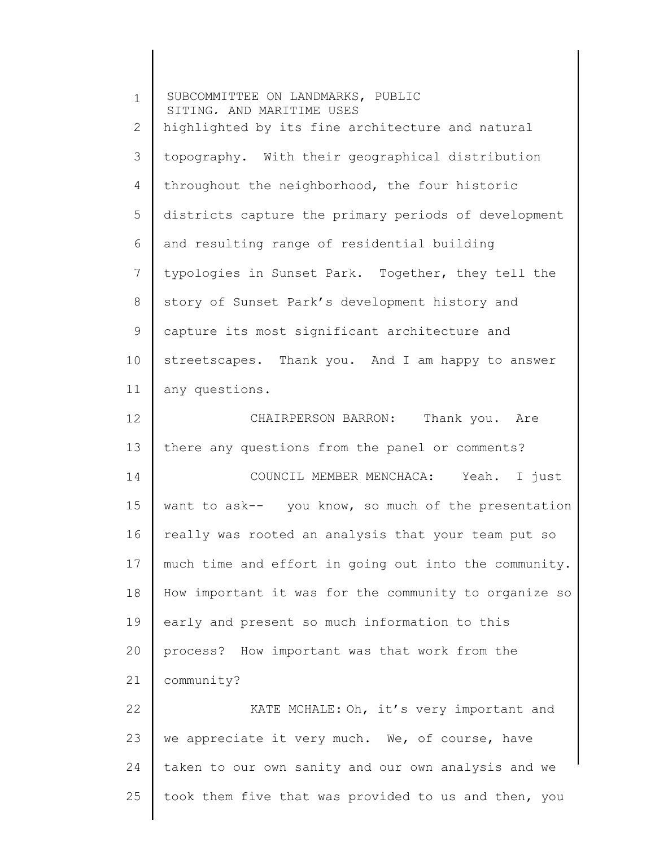1 2 3 4 5 6 7 8 9 10 11 12 13 14 15 16 17 18 19 20 21 22 23 24 25 SUBCOMMITTEE ON LANDMARKS, PUBLIC SITING, AND MARITIME USES highlighted by its fine architecture and natural topography. With their geographical distribution throughout the neighborhood, the four historic districts capture the primary periods of development and resulting range of residential building typologies in Sunset Park. Together, they tell the story of Sunset Park's development history and capture its most significant architecture and streetscapes. Thank you. And I am happy to answer any questions. CHAIRPERSON BARRON: Thank you. Are there any questions from the panel or comments? COUNCIL MEMBER MENCHACA: Yeah. I just want to ask-- you know, so much of the presentation really was rooted an analysis that your team put so much time and effort in going out into the community. How important it was for the community to organize so early and present so much information to this process? How important was that work from the community? KATE MCHALE: Oh, it's very important and we appreciate it very much. We, of course, have taken to our own sanity and our own analysis and we took them five that was provided to us and then, you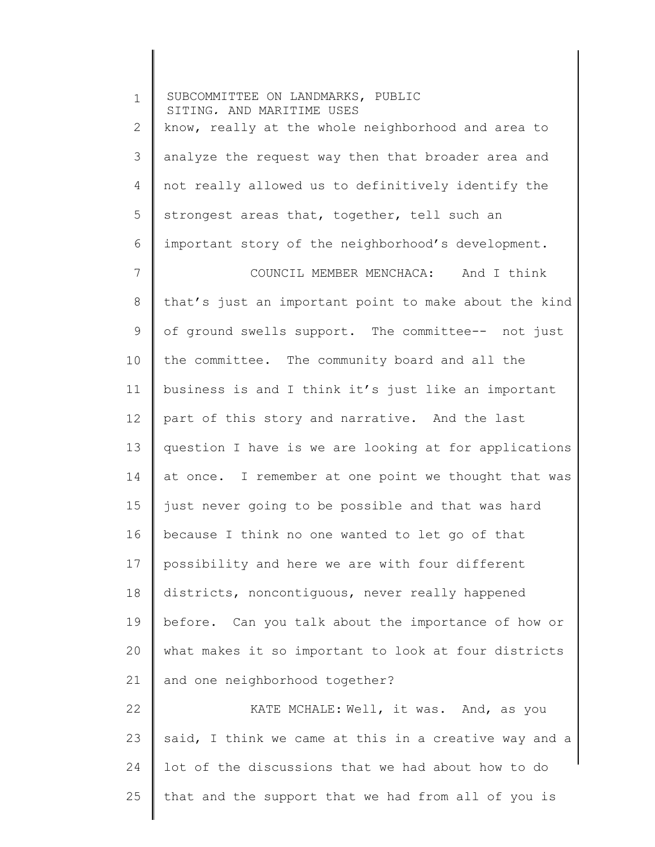1 2 3 4 5 6 7 8 9 10 11 12 13 14 15 16 17 18 19 20 21 22 23 24 25 SUBCOMMITTEE ON LANDMARKS, PUBLIC SITING, AND MARITIME USES know, really at the whole neighborhood and area to analyze the request way then that broader area and not really allowed us to definitively identify the strongest areas that, together, tell such an important story of the neighborhood's development. COUNCIL MEMBER MENCHACA: And I think that's just an important point to make about the kind of ground swells support. The committee-- not just the committee. The community board and all the business is and I think it's just like an important part of this story and narrative. And the last question I have is we are looking at for applications at once. I remember at one point we thought that was just never going to be possible and that was hard because I think no one wanted to let go of that possibility and here we are with four different districts, noncontiguous, never really happened before. Can you talk about the importance of how or what makes it so important to look at four districts and one neighborhood together? KATE MCHALE: Well, it was. And, as you said, I think we came at this in a creative way and a lot of the discussions that we had about how to do that and the support that we had from all of you is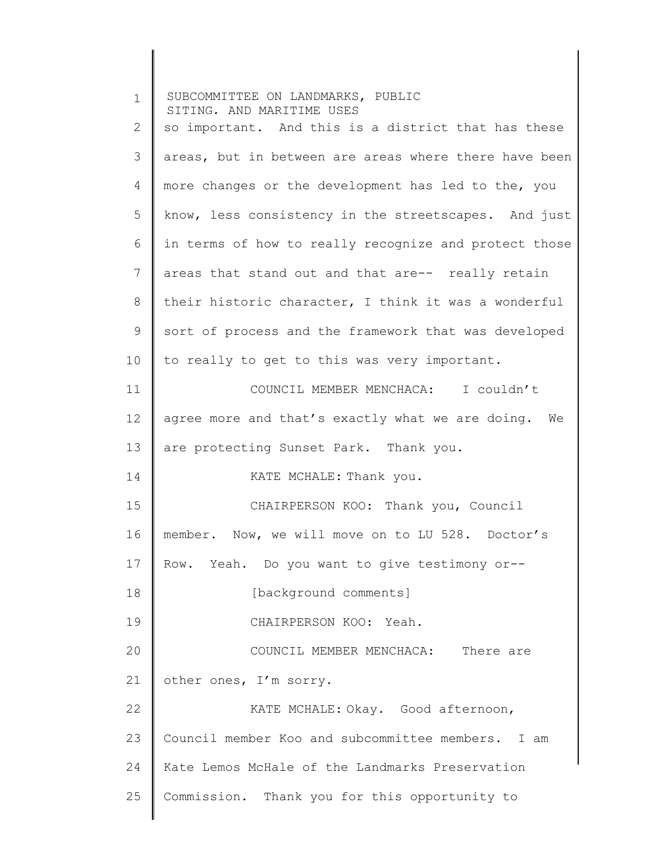| $\mathbf 1$ | SUBCOMMITTEE ON LANDMARKS, PUBLIC<br>SITING. AND MARITIME USES |
|-------------|----------------------------------------------------------------|
| 2           | so important. And this is a district that has these            |
| 3           | areas, but in between are areas where there have been          |
| 4           | more changes or the development has led to the, you            |
| 5           | know, less consistency in the streetscapes. And just           |
| 6           | in terms of how to really recognize and protect those          |
| 7           | areas that stand out and that are-- really retain              |
| 8           | their historic character, I think it was a wonderful           |
| 9           | sort of process and the framework that was developed           |
| 10          | to really to get to this was very important.                   |
| 11          | COUNCIL MEMBER MENCHACA: I couldn't                            |
| 12          | agree more and that's exactly what we are doing. We            |
| 13          | are protecting Sunset Park. Thank you.                         |
| 14          | KATE MCHALE: Thank you.                                        |
| 15          | CHAIRPERSON KOO: Thank you, Council                            |
| 16          | member. Now, we will move on to LU 528. Doctor's               |
| 17          | Yeah. Do you want to give testimony or--<br>Row.               |
| 18          | [background comments]                                          |
| 19          | CHAIRPERSON KOO: Yeah.                                         |
| 20          | COUNCIL MEMBER MENCHACA: There are                             |
| 21          | other ones, I'm sorry.                                         |
| 22          | KATE MCHALE: Okay. Good afternoon,                             |
| 23          | Council member Koo and subcommittee members. I am              |
| 24          | Kate Lemos McHale of the Landmarks Preservation                |
| 25          | Commission. Thank you for this opportunity to                  |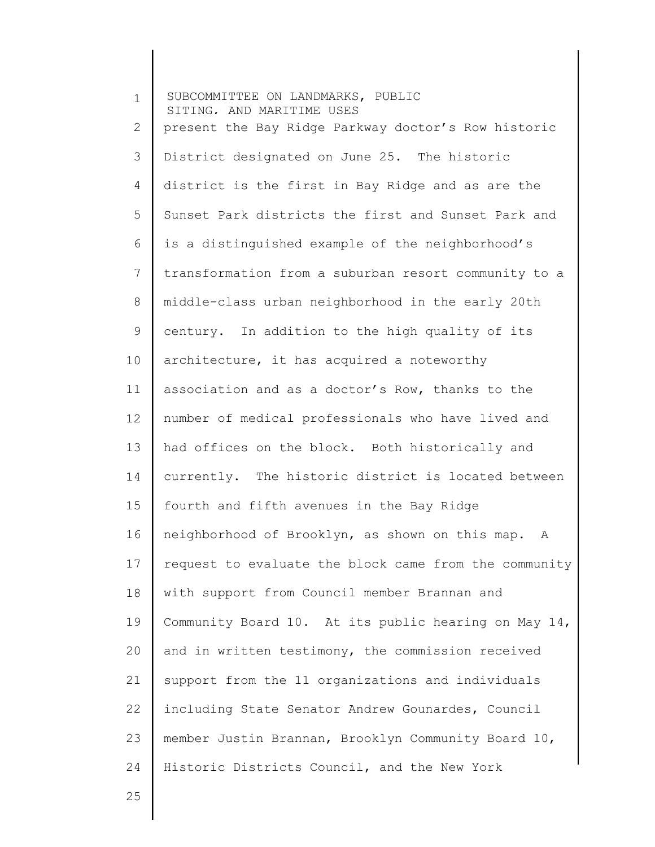1 2 3 4 5 6 7 8 9 10 11 12 13 14 15 16 17 18 19 20 21 22 23 24 SUBCOMMITTEE ON LANDMARKS, PUBLIC SITING, AND MARITIME USES present the Bay Ridge Parkway doctor's Row historic District designated on June 25. The historic district is the first in Bay Ridge and as are the Sunset Park districts the first and Sunset Park and is a distinguished example of the neighborhood's transformation from a suburban resort community to a middle-class urban neighborhood in the early 20th century. In addition to the high quality of its architecture, it has acquired a noteworthy association and as a doctor's Row, thanks to the number of medical professionals who have lived and had offices on the block. Both historically and currently. The historic district is located between fourth and fifth avenues in the Bay Ridge neighborhood of Brooklyn, as shown on this map. A request to evaluate the block came from the community with support from Council member Brannan and Community Board 10. At its public hearing on May 14, and in written testimony, the commission received support from the 11 organizations and individuals including State Senator Andrew Gounardes, Council member Justin Brannan, Brooklyn Community Board 10, Historic Districts Council, and the New York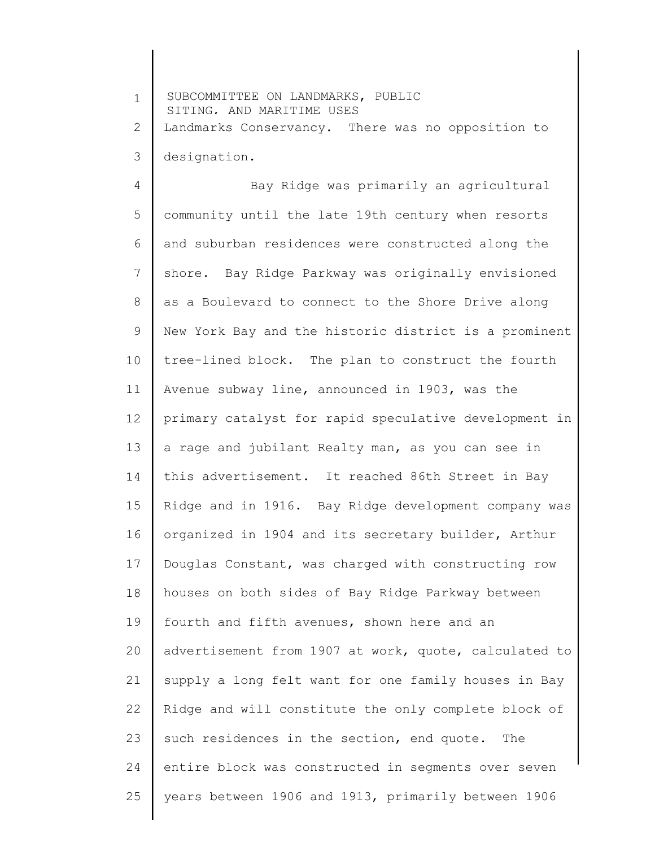1 2 3 SUBCOMMITTEE ON LANDMARKS, PUBLIC SITING, AND MARITIME USES Landmarks Conservancy. There was no opposition to designation.

4 5 6 7 8 9 10 11 12 13 14 15 16 17 18 19 20 21 22 23 24 25 Bay Ridge was primarily an agricultural community until the late 19th century when resorts and suburban residences were constructed along the shore. Bay Ridge Parkway was originally envisioned as a Boulevard to connect to the Shore Drive along New York Bay and the historic district is a prominent tree-lined block. The plan to construct the fourth Avenue subway line, announced in 1903, was the primary catalyst for rapid speculative development in a rage and jubilant Realty man, as you can see in this advertisement. It reached 86th Street in Bay Ridge and in 1916. Bay Ridge development company was organized in 1904 and its secretary builder, Arthur Douglas Constant, was charged with constructing row houses on both sides of Bay Ridge Parkway between fourth and fifth avenues, shown here and an advertisement from 1907 at work, quote, calculated to supply a long felt want for one family houses in Bay Ridge and will constitute the only complete block of such residences in the section, end quote. The entire block was constructed in segments over seven years between 1906 and 1913, primarily between 1906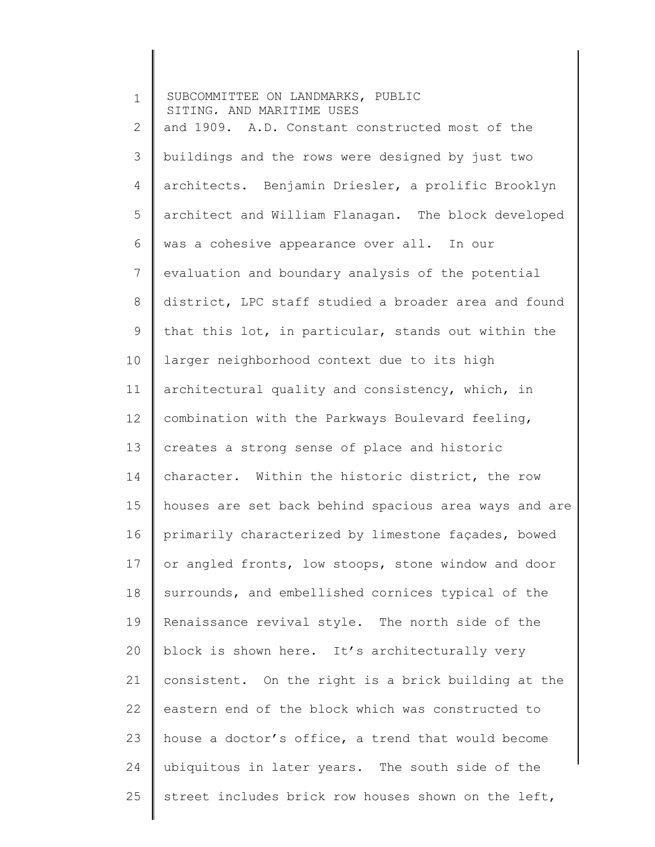| $\mathbf 1$ | SUBCOMMITTEE ON LANDMARKS, PUBLIC<br>SITING, AND MARITIME USES |
|-------------|----------------------------------------------------------------|
| 2           | and 1909. A.D. Constant constructed most of the                |
| 3           | buildings and the rows were designed by just two               |
| 4           | architects. Benjamin Driesler, a prolific Brooklyn             |
| 5           | architect and William Flanagan. The block developed            |
| 6           | was a cohesive appearance over all. In our                     |
| 7           | evaluation and boundary analysis of the potential              |
| 8           | district, LPC staff studied a broader area and found           |
| 9           | that this lot, in particular, stands out within the            |
| 10          | larger neighborhood context due to its high                    |
| 11          | architectural quality and consistency, which, in               |
| 12          | combination with the Parkways Boulevard feeling,               |
| 13          | creates a strong sense of place and historic                   |
| 14          | character. Within the historic district, the row               |
| 15          | houses are set back behind spacious area ways and are          |
| 16          | primarily characterized by limestone façades, bowed            |
| 17          | or angled fronts, low stoops, stone window and door            |
| 18          | surrounds, and embellished cornices typical of the             |
| 19          | Renaissance revival style. The north side of the               |
| 20          | block is shown here. It's architecturally very                 |
| 21          | consistent. On the right is a brick building at the            |
| 22          | eastern end of the block which was constructed to              |
| 23          | house a doctor's office, a trend that would become             |
| 24          | ubiquitous in later years. The south side of the               |
| 25          | street includes brick row houses shown on the left,            |
|             |                                                                |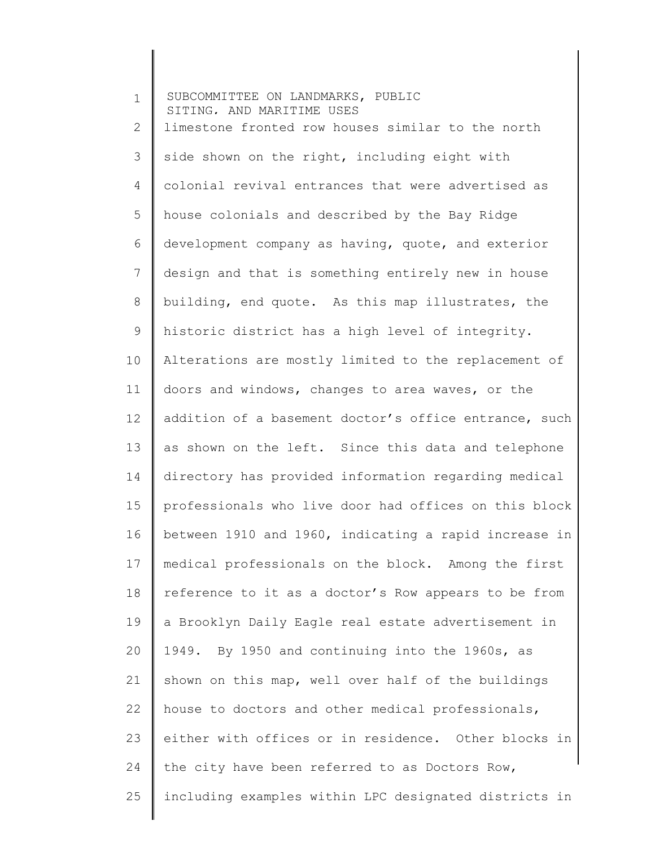1 2 3 4 5 6 7 8 9 10 11 12 13 14 15 16 17 18 19 20 21 22 23 24 25 SUBCOMMITTEE ON LANDMARKS, PUBLIC SITING, AND MARITIME USES limestone fronted row houses similar to the north side shown on the right, including eight with colonial revival entrances that were advertised as house colonials and described by the Bay Ridge development company as having, quote, and exterior design and that is something entirely new in house building, end quote. As this map illustrates, the historic district has a high level of integrity. Alterations are mostly limited to the replacement of doors and windows, changes to area waves, or the addition of a basement doctor's office entrance, such as shown on the left. Since this data and telephone directory has provided information regarding medical professionals who live door had offices on this block between 1910 and 1960, indicating a rapid increase in medical professionals on the block. Among the first reference to it as a doctor's Row appears to be from a Brooklyn Daily Eagle real estate advertisement in 1949. By 1950 and continuing into the 1960s, as shown on this map, well over half of the buildings house to doctors and other medical professionals, either with offices or in residence. Other blocks in the city have been referred to as Doctors Row, including examples within LPC designated districts in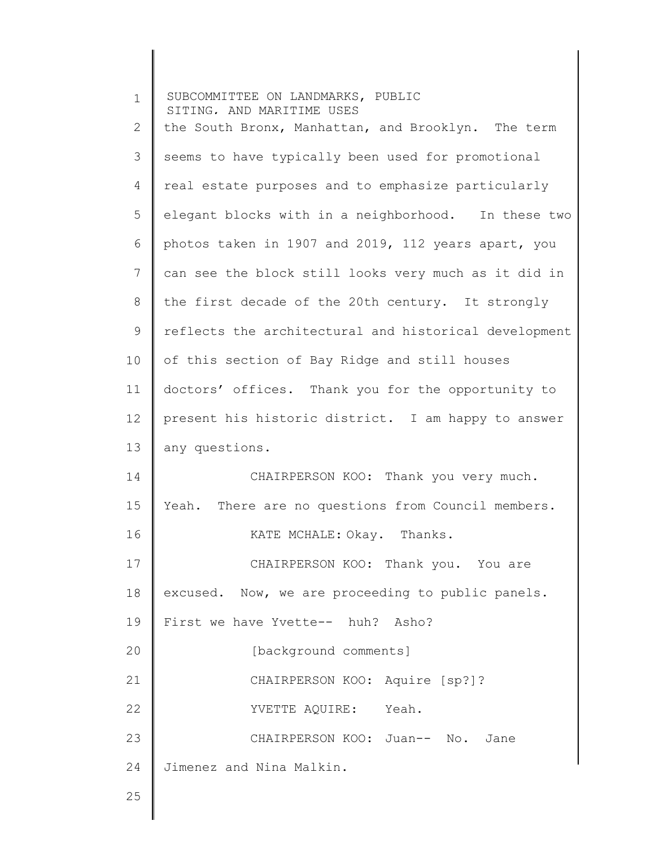| $\mathbf 1$  | SUBCOMMITTEE ON LANDMARKS, PUBLIC<br>SITING, AND MARITIME USES |
|--------------|----------------------------------------------------------------|
| $\mathbf{2}$ | the South Bronx, Manhattan, and Brooklyn. The term             |
| 3            | seems to have typically been used for promotional              |
| 4            | real estate purposes and to emphasize particularly             |
| 5            | elegant blocks with in a neighborhood. In these two            |
| 6            | photos taken in 1907 and 2019, 112 years apart, you            |
| 7            | can see the block still looks very much as it did in           |
| 8            | the first decade of the 20th century. It strongly              |
| 9            | reflects the architectural and historical development          |
| 10           | of this section of Bay Ridge and still houses                  |
| 11           | doctors' offices. Thank you for the opportunity to             |
| 12           | present his historic district. I am happy to answer            |
| 13           | any questions.                                                 |
| 14           | CHAIRPERSON KOO: Thank you very much.                          |
| 15           | Yeah. There are no questions from Council members.             |
| 16           | KATE MCHALE: Okay. Thanks.                                     |
| 17           | CHAIRPERSON KOO: Thank you. You are                            |
| 18           | excused. Now, we are proceeding to public panels.              |
| 19           | First we have Yvette-- huh? Asho?                              |
| 20           | [background comments]                                          |
| 21           | CHAIRPERSON KOO: Aquire [sp?]?                                 |
| 22           | YVETTE AQUIRE: Yeah.                                           |
| 23           | CHAIRPERSON KOO: Juan-- No. Jane                               |
| 24           | Jimenez and Nina Malkin.                                       |
| 25           |                                                                |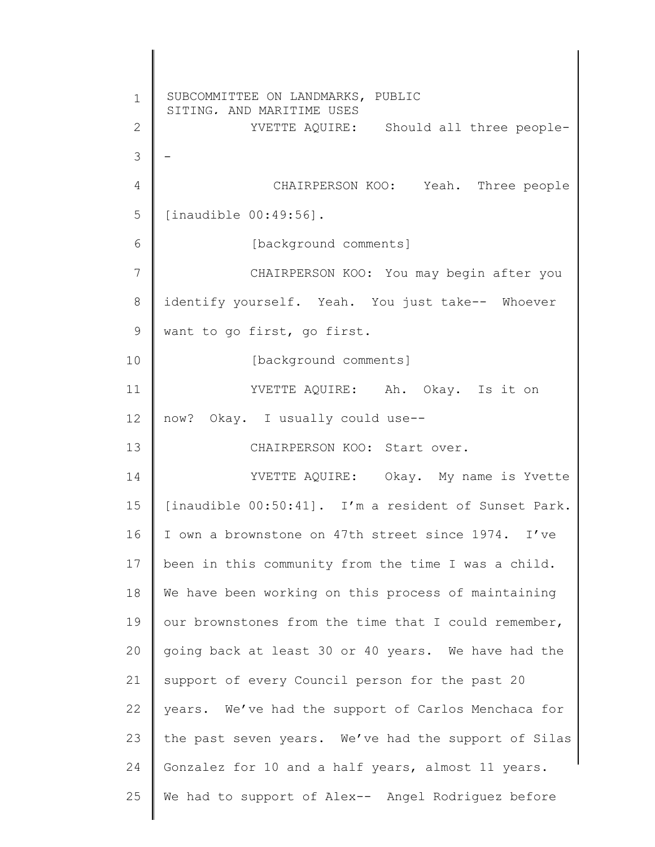1 2 3 4 5 6 7 8 9 10 11 12 13 14 15 16 17 18 19 20 21 22 23 24 25 SUBCOMMITTEE ON LANDMARKS, PUBLIC SITING, AND MARITIME USES YVETTE AQUIRE: Should all three people-- CHAIRPERSON KOO: Yeah. Three people [inaudible 00:49:56]. [background comments] CHAIRPERSON KOO: You may begin after you identify yourself. Yeah. You just take-- Whoever want to go first, go first. [background comments] YVETTE AQUIRE: Ah. Okay. Is it on now? Okay. I usually could use-- CHAIRPERSON KOO: Start over. YVETTE AQUIRE: Okay. My name is Yvette [inaudible 00:50:41]. I'm a resident of Sunset Park. I own a brownstone on 47th street since 1974. I've been in this community from the time I was a child. We have been working on this process of maintaining our brownstones from the time that I could remember, going back at least 30 or 40 years. We have had the support of every Council person for the past 20 years. We've had the support of Carlos Menchaca for the past seven years. We've had the support of Silas Gonzalez for 10 and a half years, almost 11 years. We had to support of Alex-- Angel Rodriguez before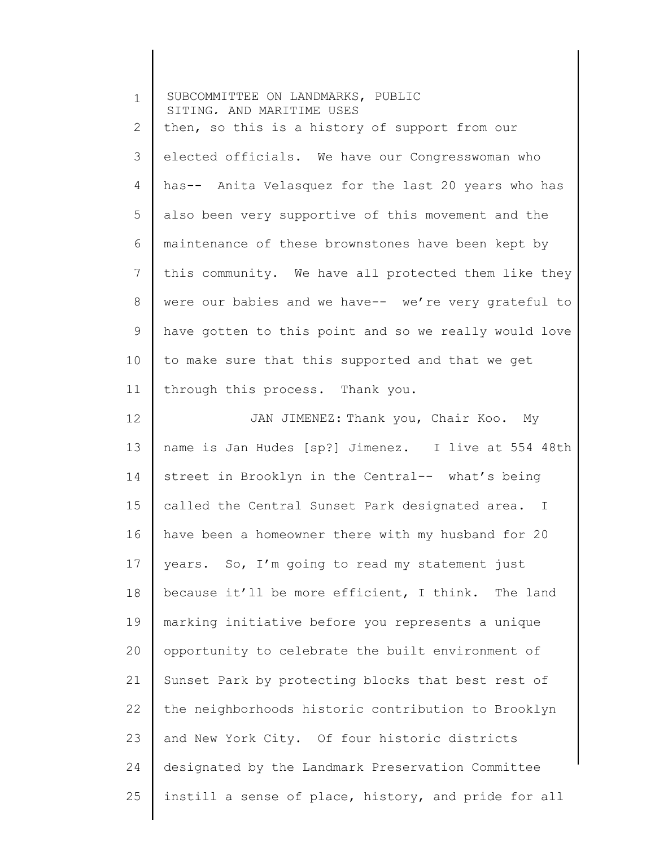| $\mathbf 1$ | SUBCOMMITTEE ON LANDMARKS, PUBLIC<br>SITING, AND MARITIME USES |
|-------------|----------------------------------------------------------------|
| 2           | then, so this is a history of support from our                 |
| 3           | elected officials. We have our Congresswoman who               |
| 4           | has-- Anita Velasquez for the last 20 years who has            |
| 5           | also been very supportive of this movement and the             |
| 6           | maintenance of these brownstones have been kept by             |
| 7           | this community. We have all protected them like they           |
| 8           | were our babies and we have-- we're very grateful to           |
| $\mathsf 9$ | have gotten to this point and so we really would love          |
| 10          | to make sure that this supported and that we get               |
| 11          | through this process. Thank you.                               |
| 12          | JAN JIMENEZ: Thank you, Chair Koo. My                          |
| 13          | name is Jan Hudes [sp?] Jimenez. I live at 554 48th            |
| 14          | street in Brooklyn in the Central-- what's being               |
| 15          | called the Central Sunset Park designated area. I              |
| 16          | have been a homeowner there with my husband for 20             |
| 17          | years. So, I'm going to read my statement just                 |
| 18          | because it'll be more efficient, I think. The land             |
| 19          | marking initiative before you represents a unique              |
| 20          | opportunity to celebrate the built environment of              |
| 21          | Sunset Park by protecting blocks that best rest of             |
| 22          | the neighborhoods historic contribution to Brooklyn            |
| 23          | and New York City. Of four historic districts                  |
| 24          | designated by the Landmark Preservation Committee              |
| 25          | instill a sense of place, history, and pride for all           |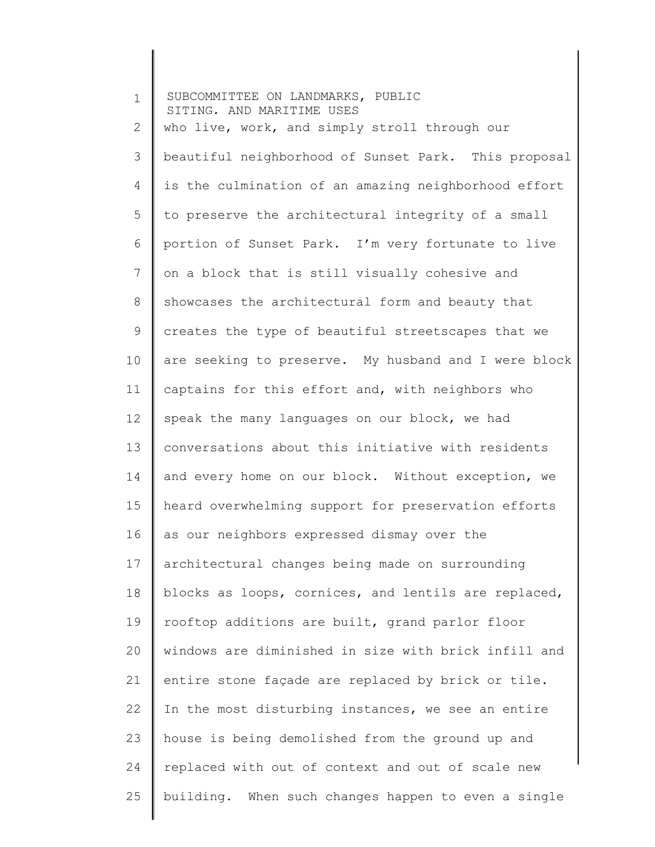| $\mathbf 1$    | SUBCOMMITTEE ON LANDMARKS, PUBLIC<br>SITING. AND MARITIME USES |
|----------------|----------------------------------------------------------------|
| 2              | who live, work, and simply stroll through our                  |
| 3              | beautiful neighborhood of Sunset Park. This proposal           |
| 4              | is the culmination of an amazing neighborhood effort           |
| 5              | to preserve the architectural integrity of a small             |
| 6              | portion of Sunset Park. I'm very fortunate to live             |
| $\overline{7}$ | on a block that is still visually cohesive and                 |
| 8              | showcases the architectural form and beauty that               |
| 9              | creates the type of beautiful streetscapes that we             |
| 10             | are seeking to preserve. My husband and I were block           |
| 11             | captains for this effort and, with neighbors who               |
| 12             | speak the many languages on our block, we had                  |
| 13             | conversations about this initiative with residents             |
| 14             | and every home on our block. Without exception, we             |
| 15             | heard overwhelming support for preservation efforts            |
| 16             | as our neighbors expressed dismay over the                     |
| 17             | architectural changes being made on surrounding                |
| 18             | blocks as loops, cornices, and lentils are replaced,           |
| 19             | rooftop additions are built, grand parlor floor                |
| 20             | windows are diminished in size with brick infill and           |
| 21             | entire stone façade are replaced by brick or tile.             |
| 22             | In the most disturbing instances, we see an entire             |
| 23             | house is being demolished from the ground up and               |
| 24             | replaced with out of context and out of scale new              |
| 25             | building. When such changes happen to even a single            |
|                |                                                                |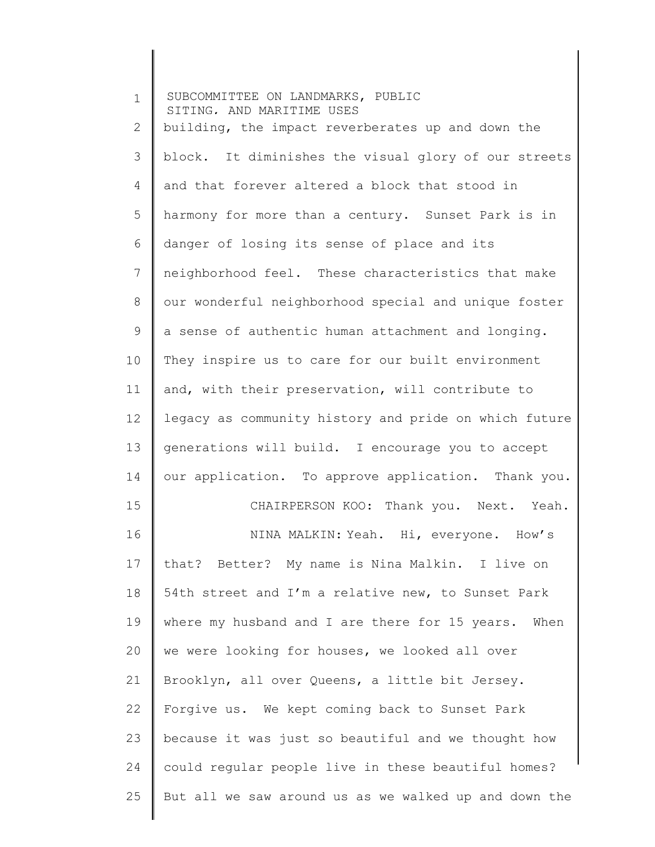| $\mathbf 1$  | SUBCOMMITTEE ON LANDMARKS, PUBLIC<br>SITING, AND MARITIME USES |
|--------------|----------------------------------------------------------------|
| $\mathbf{2}$ | building, the impact reverberates up and down the              |
| 3            | block. It diminishes the visual glory of our streets           |
| 4            | and that forever altered a block that stood in                 |
| 5            | harmony for more than a century. Sunset Park is in             |
| 6            | danger of losing its sense of place and its                    |
| 7            | neighborhood feel. These characteristics that make             |
| 8            | our wonderful neighborhood special and unique foster           |
| 9            | a sense of authentic human attachment and longing.             |
| 10           | They inspire us to care for our built environment              |
| 11           | and, with their preservation, will contribute to               |
| 12           | legacy as community history and pride on which future          |
| 13           | generations will build. I encourage you to accept              |
| 14           | our application. To approve application. Thank you.            |
| 15           | CHAIRPERSON KOO: Thank you. Next. Yeah.                        |
| 16           | NINA MALKIN: Yeah. Hi, everyone. How's                         |
| 17           | that? Better? My name is Nina Malkin. I live on                |
| 18           | 54th street and I'm a relative new, to Sunset Park             |
| 19           | where my husband and I are there for 15 years. When            |
| 20           | we were looking for houses, we looked all over                 |
| 21           | Brooklyn, all over Queens, a little bit Jersey.                |
| 22           | Forgive us. We kept coming back to Sunset Park                 |
| 23           | because it was just so beautiful and we thought how            |
| 24           | could regular people live in these beautiful homes?            |
| 25           | But all we saw around us as we walked up and down the          |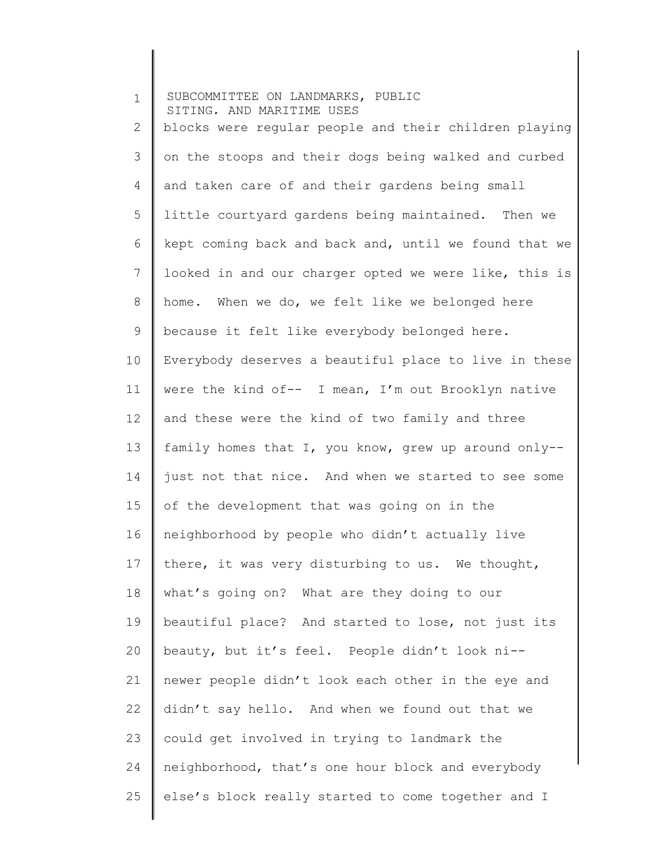1 2 3 4 5 6 7 8 9 10 11 12 13 14 15 16 17 18 19 20 21 22 23 24 25 SUBCOMMITTEE ON LANDMARKS, PUBLIC SITING, AND MARITIME USES blocks were regular people and their children playing on the stoops and their dogs being walked and curbed and taken care of and their gardens being small little courtyard gardens being maintained. Then we kept coming back and back and, until we found that we looked in and our charger opted we were like, this is home. When we do, we felt like we belonged here because it felt like everybody belonged here. Everybody deserves a beautiful place to live in these were the kind of-- I mean, I'm out Brooklyn native and these were the kind of two family and three family homes that I, you know, grew up around only- just not that nice. And when we started to see some of the development that was going on in the neighborhood by people who didn't actually live there, it was very disturbing to us. We thought, what's going on? What are they doing to our beautiful place? And started to lose, not just its beauty, but it's feel. People didn't look ni- newer people didn't look each other in the eye and didn't say hello. And when we found out that we could get involved in trying to landmark the neighborhood, that's one hour block and everybody else's block really started to come together and I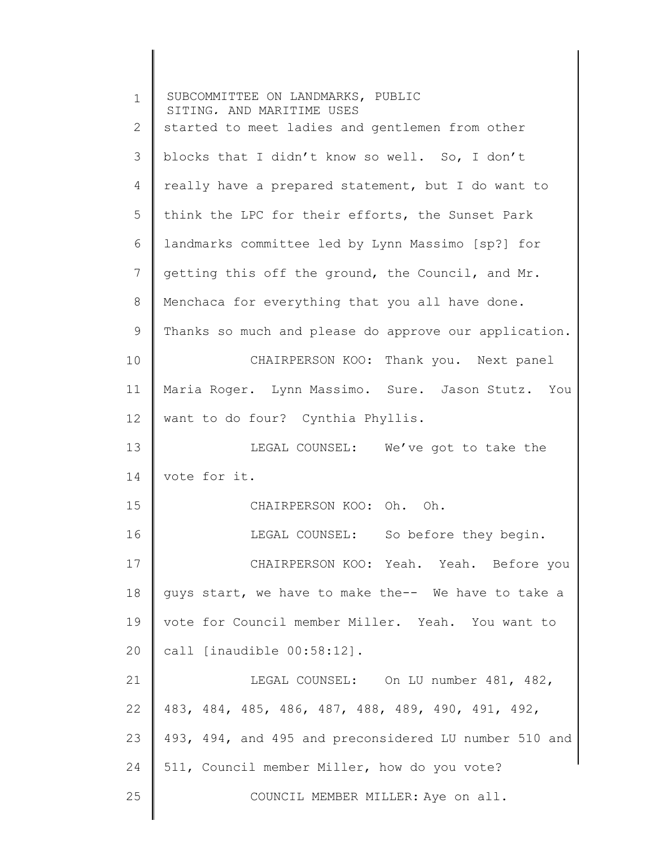| $\mathbf 1$ | SUBCOMMITTEE ON LANDMARKS, PUBLIC<br>SITING, AND MARITIME USES |
|-------------|----------------------------------------------------------------|
| 2           | started to meet ladies and gentlemen from other                |
| 3           | blocks that I didn't know so well. So, I don't                 |
| 4           | really have a prepared statement, but I do want to             |
| 5           | think the LPC for their efforts, the Sunset Park               |
| 6           | landmarks committee led by Lynn Massimo [sp?] for              |
| 7           | getting this off the ground, the Council, and Mr.              |
| 8           | Menchaca for everything that you all have done.                |
| 9           | Thanks so much and please do approve our application.          |
| 10          | CHAIRPERSON KOO: Thank you. Next panel                         |
| 11          | Maria Roger. Lynn Massimo. Sure. Jason Stutz. You              |
| 12          | want to do four? Cynthia Phyllis.                              |
| 13          | LEGAL COUNSEL: We've got to take the                           |
| 14          | vote for it.                                                   |
| 15          | CHAIRPERSON KOO: Oh. Oh.                                       |
| 16          | LEGAL COUNSEL: So before they begin.                           |
| 17          | CHAIRPERSON KOO: Yeah. Yeah. Before you                        |
| 18          | quys start, we have to make the-- We have to take a            |
| 19          | vote for Council member Miller. Yeah. You want to              |
| 20          | call [inaudible 00:58:12].                                     |
| 21          | LEGAL COUNSEL: On LU number 481, 482,                          |
| 22          | 483, 484, 485, 486, 487, 488, 489, 490, 491, 492,              |
| 23          | 493, 494, and 495 and preconsidered LU number 510 and          |
| 24          | 511, Council member Miller, how do you vote?                   |
| 25          | COUNCIL MEMBER MILLER: Aye on all.                             |
|             |                                                                |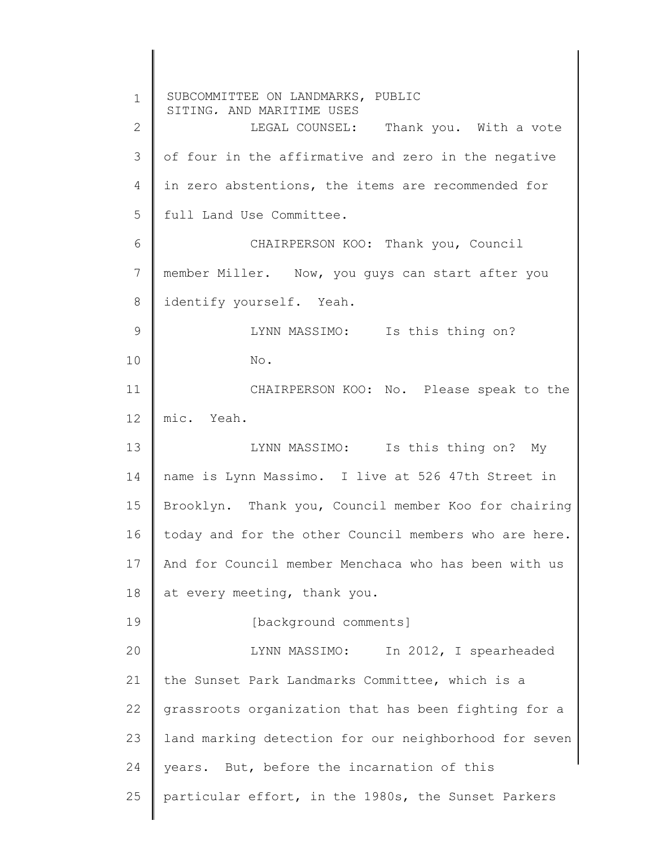1 2 3 4 5 6 7 8 9 10 11 12 13 14 15 16 17 18 19 20 21 22 23 24 25 SUBCOMMITTEE ON LANDMARKS, PUBLIC SITING, AND MARITIME USES LEGAL COUNSEL: Thank you. With a vote of four in the affirmative and zero in the negative in zero abstentions, the items are recommended for full Land Use Committee. CHAIRPERSON KOO: Thank you, Council member Miller. Now, you guys can start after you identify yourself. Yeah. LYNN MASSIMO: Is this thing on? No. CHAIRPERSON KOO: No. Please speak to the mic. Yeah. LYNN MASSIMO: Is this thing on? My name is Lynn Massimo. I live at 526 47th Street in Brooklyn. Thank you, Council member Koo for chairing today and for the other Council members who are here. And for Council member Menchaca who has been with us at every meeting, thank you. [background comments] LYNN MASSIMO: In 2012, I spearheaded the Sunset Park Landmarks Committee, which is a grassroots organization that has been fighting for a land marking detection for our neighborhood for seven years. But, before the incarnation of this particular effort, in the 1980s, the Sunset Parkers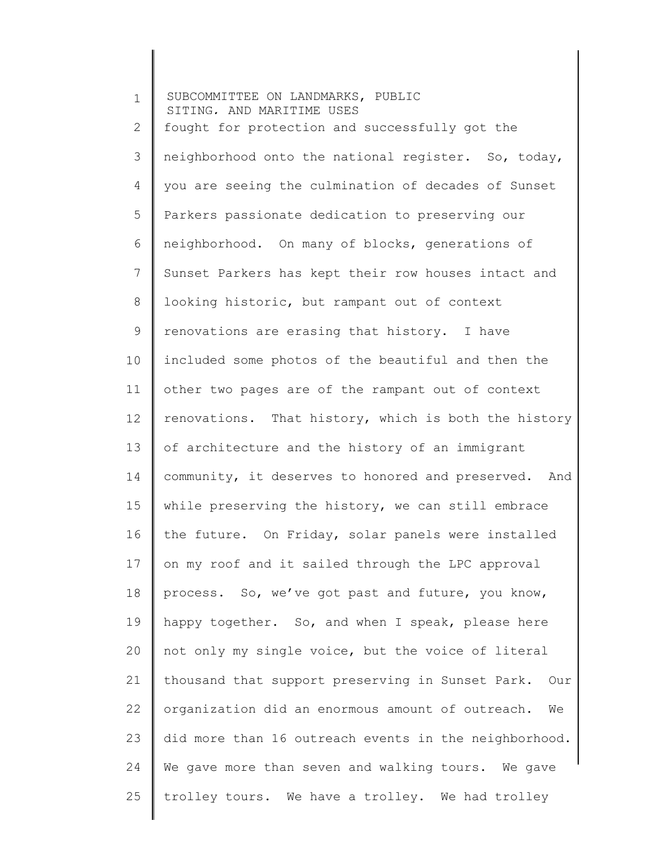| $\mathbf 1$     | SUBCOMMITTEE ON LANDMARKS, PUBLIC<br>SITING. AND MARITIME USES |  |
|-----------------|----------------------------------------------------------------|--|
| 2               | fought for protection and successfully got the                 |  |
| 3               | neighborhood onto the national register. So, today,            |  |
| 4               | you are seeing the culmination of decades of Sunset            |  |
| 5               | Parkers passionate dedication to preserving our                |  |
| 6               | neighborhood. On many of blocks, generations of                |  |
| $7\phantom{.}$  | Sunset Parkers has kept their row houses intact and            |  |
| 8               | looking historic, but rampant out of context                   |  |
| 9               | renovations are erasing that history. I have                   |  |
| 10 <sub>o</sub> | included some photos of the beautiful and then the             |  |
| 11              | other two pages are of the rampant out of context              |  |
| 12              | renovations. That history, which is both the history           |  |
| 13              | of architecture and the history of an immigrant                |  |
| 14              | community, it deserves to honored and preserved. And           |  |
| 15              | while preserving the history, we can still embrace             |  |
| 16              | the future. On Friday, solar panels were installed             |  |
| 17              | on my roof and it sailed through the LPC approval              |  |
| 18              | process. So, we've got past and future, you know,              |  |
| 19              | happy together. So, and when I speak, please here              |  |
| 20              | not only my single voice, but the voice of literal             |  |
| 21              | thousand that support preserving in Sunset Park. Our           |  |
| 22              | organization did an enormous amount of outreach.<br>We         |  |
| 23              | did more than 16 outreach events in the neighborhood.          |  |
| 24              | We gave more than seven and walking tours. We gave             |  |
| 25              | trolley tours. We have a trolley. We had trolley               |  |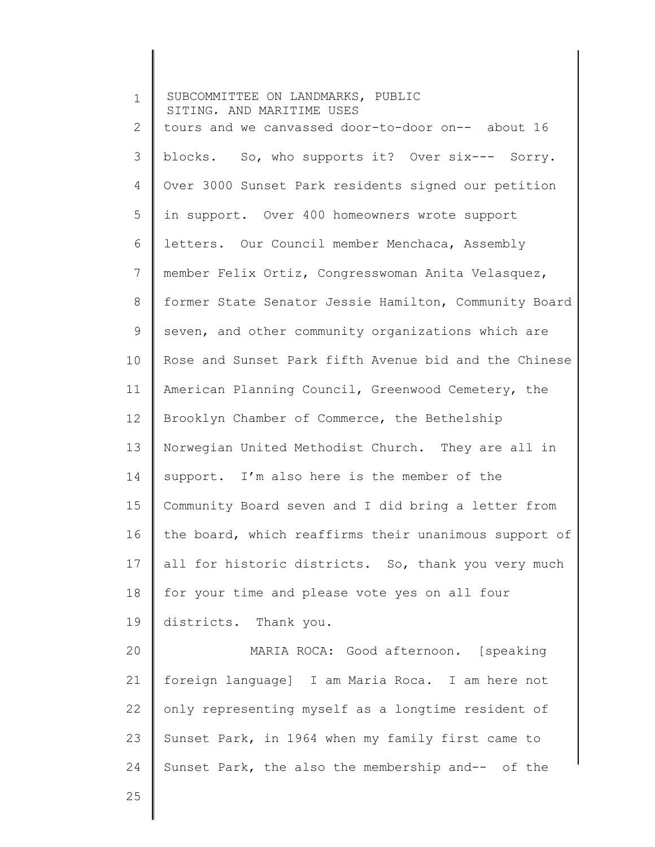| $\mathbf{1}$ | SUBCOMMITTEE ON LANDMARKS, PUBLIC<br>SITING, AND MARITIME USES |
|--------------|----------------------------------------------------------------|
| 2            | tours and we canvassed door-to-door on-- about 16              |
| 3            | blocks. So, who supports it? Over six--- Sorry.                |
| 4            | Over 3000 Sunset Park residents signed our petition            |
| 5            | in support. Over 400 homeowners wrote support                  |
| 6            | letters. Our Council member Menchaca, Assembly                 |
| 7            | member Felix Ortiz, Congresswoman Anita Velasquez,             |
| 8            | former State Senator Jessie Hamilton, Community Board          |
| 9            | seven, and other community organizations which are             |
| 10           | Rose and Sunset Park fifth Avenue bid and the Chinese          |
| 11           | American Planning Council, Greenwood Cemetery, the             |
| 12           | Brooklyn Chamber of Commerce, the Bethelship                   |
| 13           | Norwegian United Methodist Church. They are all in             |
| 14           | support. I'm also here is the member of the                    |
| 15           | Community Board seven and I did bring a letter from            |
| 16           | the board, which reaffirms their unanimous support of          |
| 17           | all for historic districts. So, thank you very much            |
| 18           | for your time and please vote yes on all four                  |
| 19           | districts. Thank you.                                          |
| 20           | MARIA ROCA: Good afternoon. [speaking                          |
| 21           | foreign language] I am Maria Roca. I am here not               |
| 22           | only representing myself as a longtime resident of             |
| 23           | Sunset Park, in 1964 when my family first came to              |
| 24           | Sunset Park, the also the membership and-- of the              |
| 25           |                                                                |

║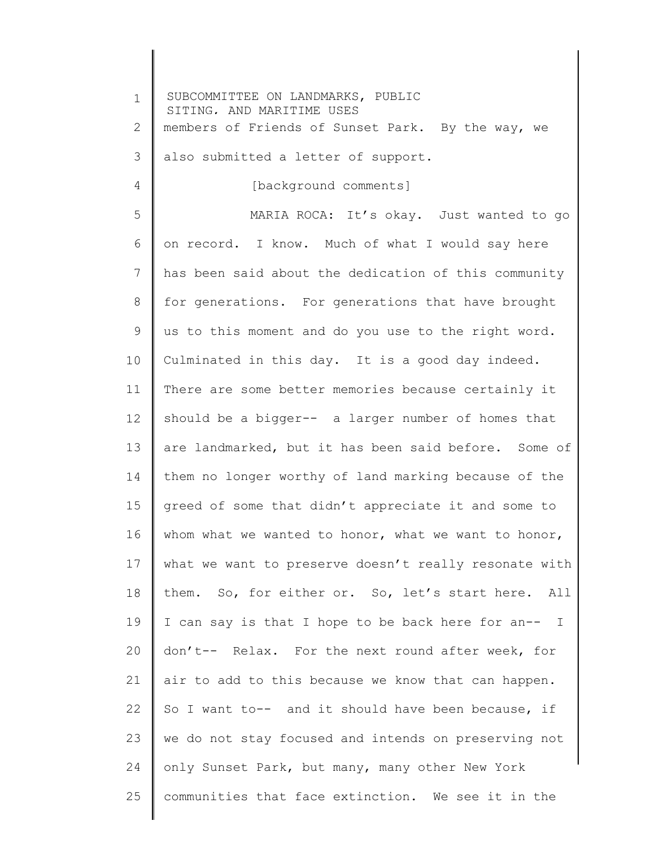1 2 3 4 5 6 7 8 9 10 11 12 13 14 15 16 17 18 19 20 21 22 23 24 25 SUBCOMMITTEE ON LANDMARKS, PUBLIC SITING, AND MARITIME USES members of Friends of Sunset Park. By the way, we also submitted a letter of support. [background comments] MARIA ROCA: It's okay. Just wanted to go on record. I know. Much of what I would say here has been said about the dedication of this community for generations. For generations that have brought us to this moment and do you use to the right word. Culminated in this day. It is a good day indeed. There are some better memories because certainly it should be a bigger-- a larger number of homes that are landmarked, but it has been said before. Some of them no longer worthy of land marking because of the greed of some that didn't appreciate it and some to whom what we wanted to honor, what we want to honor, what we want to preserve doesn't really resonate with them. So, for either or. So, let's start here. All I can say is that I hope to be back here for an-- I don't-- Relax. For the next round after week, for air to add to this because we know that can happen. So I want to-- and it should have been because, if we do not stay focused and intends on preserving not only Sunset Park, but many, many other New York communities that face extinction. We see it in the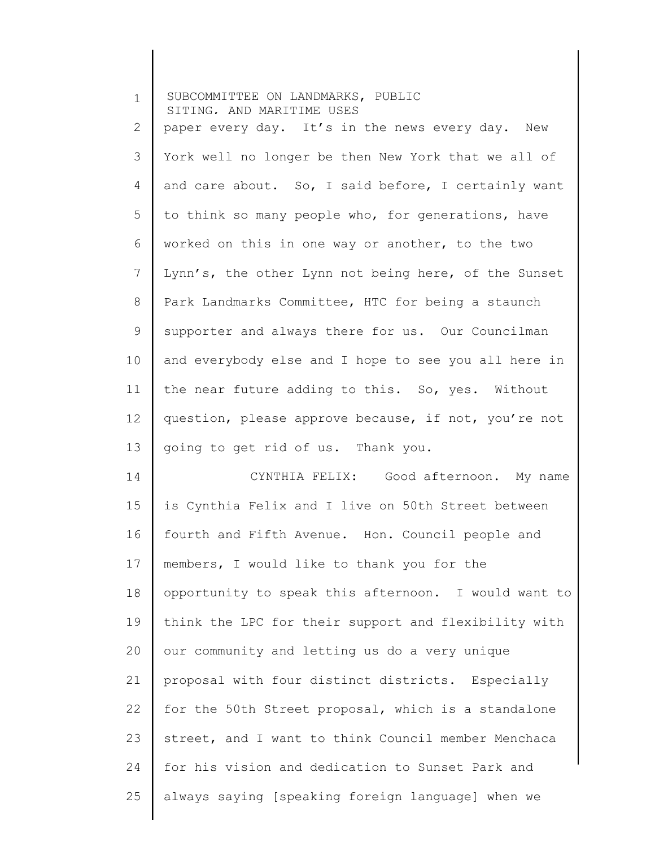| $\mathbf 1$ | SUBCOMMITTEE ON LANDMARKS, PUBLIC<br>SITING, AND MARITIME USES |
|-------------|----------------------------------------------------------------|
| 2           | paper every day. It's in the news every day. New               |
| 3           | York well no longer be then New York that we all of            |
| 4           | and care about. So, I said before, I certainly want            |
| 5           | to think so many people who, for generations, have             |
| 6           | worked on this in one way or another, to the two               |
| 7           | Lynn's, the other Lynn not being here, of the Sunset           |
| 8           | Park Landmarks Committee, HTC for being a staunch              |
| 9           | supporter and always there for us. Our Councilman              |
| 10          | and everybody else and I hope to see you all here in           |
| 11          | the near future adding to this. So, yes. Without               |
| 12          | question, please approve because, if not, you're not           |
| 13          | going to get rid of us. Thank you.                             |
| 14          | CYNTHIA FELIX: Good afternoon. My name                         |
| 15          | is Cynthia Felix and I live on 50th Street between             |
| 16          | fourth and Fifth Avenue. Hon. Council people and               |
| 17          | members, I would like to thank you for the                     |
| 18          | opportunity to speak this afternoon. I would want to           |
| 19          | think the LPC for their support and flexibility with           |
| 20          | our community and letting us do a very unique                  |
| 21          | proposal with four distinct districts. Especially              |
| 22          | for the 50th Street proposal, which is a standalone            |
| 23          | street, and I want to think Council member Menchaca            |
| 24          | for his vision and dedication to Sunset Park and               |
| 25          | always saying [speaking foreign language] when we              |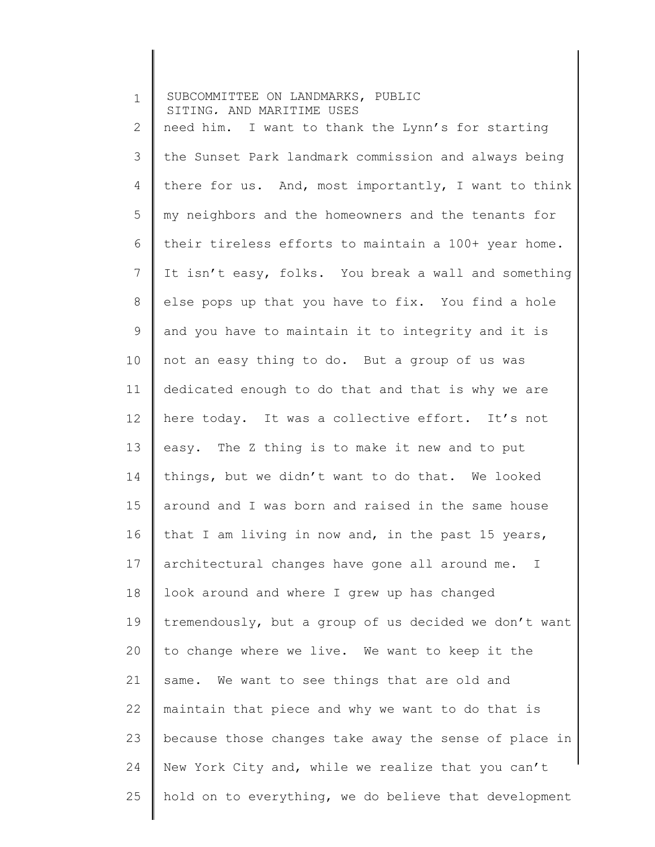| $\mathbf 1$    | SUBCOMMITTEE ON LANDMARKS, PUBLIC<br>SITING, AND MARITIME USES |
|----------------|----------------------------------------------------------------|
| $\overline{2}$ | need him. I want to thank the Lynn's for starting              |
| 3              | the Sunset Park landmark commission and always being           |
| 4              | there for us. And, most importantly, I want to think           |
| 5              | my neighbors and the homeowners and the tenants for            |
| 6              | their tireless efforts to maintain a 100+ year home.           |
| $\overline{7}$ | It isn't easy, folks. You break a wall and something           |
| 8              | else pops up that you have to fix. You find a hole             |
| 9              | and you have to maintain it to integrity and it is             |
| 10             | not an easy thing to do. But a group of us was                 |
| 11             | dedicated enough to do that and that is why we are             |
| 12             | here today. It was a collective effort. It's not               |
| 13             | easy. The Z thing is to make it new and to put                 |
| 14             | things, but we didn't want to do that. We looked               |
| 15             | around and I was born and raised in the same house             |
| 16             | that I am living in now and, in the past 15 years,             |
| 17             | architectural changes have gone all around me. I               |
| 18             | look around and where I grew up has changed                    |
| 19             | tremendously, but a group of us decided we don't want          |
| 20             | to change where we live. We want to keep it the                |
| 21             | same. We want to see things that are old and                   |
| 22             | maintain that piece and why we want to do that is              |
| 23             | because those changes take away the sense of place in          |
| 24             | New York City and, while we realize that you can't             |
| 25             | hold on to everything, we do believe that development          |
|                |                                                                |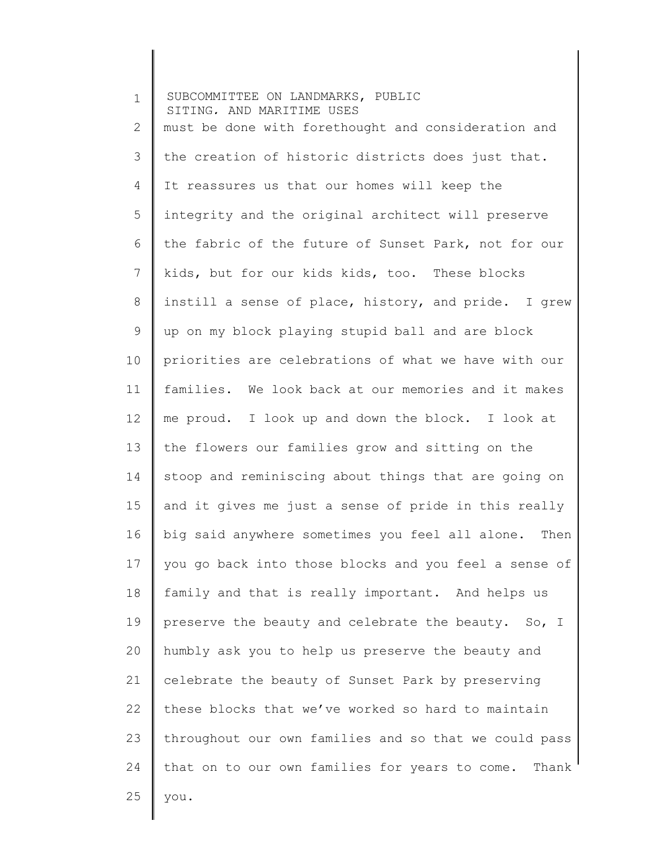| $\mathbf 1$ | SUBCOMMITTEE ON LANDMARKS, PUBLIC<br>SITING. AND MARITIME USES |
|-------------|----------------------------------------------------------------|
| 2           | must be done with forethought and consideration and            |
| 3           | the creation of historic districts does just that.             |
| 4           | It reassures us that our homes will keep the                   |
| 5           | integrity and the original architect will preserve             |
| 6           | the fabric of the future of Sunset Park, not for our           |
| 7           | kids, but for our kids kids, too. These blocks                 |
| $8\,$       | instill a sense of place, history, and pride. I grew           |
| 9           | up on my block playing stupid ball and are block               |
| 10          | priorities are celebrations of what we have with our           |
| 11          | families. We look back at our memories and it makes            |
| 12          | me proud. I look up and down the block. I look at              |
| 13          | the flowers our families grow and sitting on the               |
| 14          | stoop and reminiscing about things that are going on           |
| 15          | and it gives me just a sense of pride in this really           |
| 16          | big said anywhere sometimes you feel all alone.<br>Then        |
| 17          | you go back into those blocks and you feel a sense of          |
| 18          | family and that is really important. And helps us              |
| 19          | preserve the beauty and celebrate the beauty. So, I            |
| 20          | humbly ask you to help us preserve the beauty and              |
| 21          | celebrate the beauty of Sunset Park by preserving              |
| 22          | these blocks that we've worked so hard to maintain             |
| 23          | throughout our own families and so that we could pass          |
| 24          | that on to our own families for years to come. Thank           |
| 25          | you.                                                           |
|             |                                                                |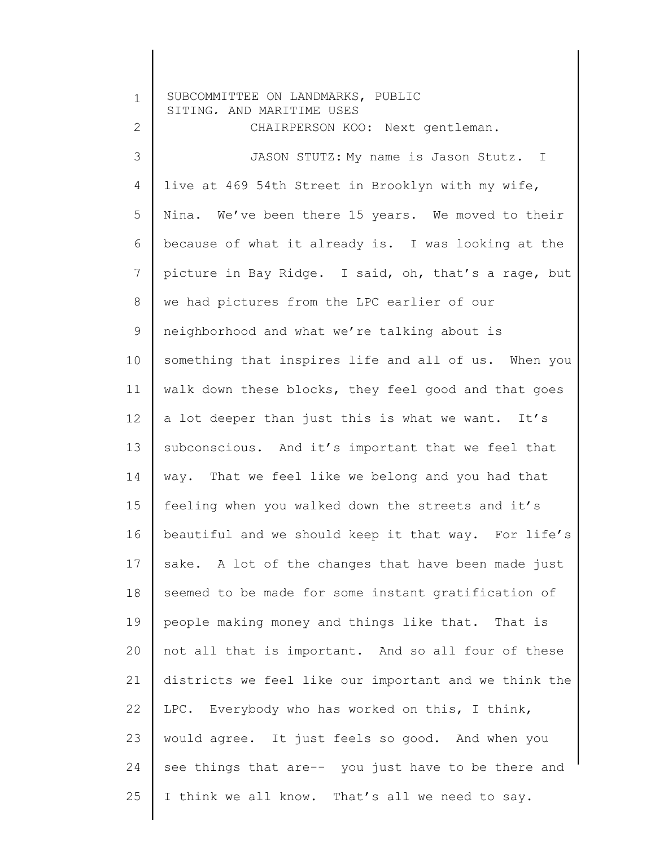1 2 3 4 5 6 7 8 9 10 11 12 13 14 15 16 17 18 19 20 21 22 23 24 25 SUBCOMMITTEE ON LANDMARKS, PUBLIC SITING, AND MARITIME USES CHAIRPERSON KOO: Next gentleman. JASON STUTZ: My name is Jason Stutz. I live at 469 54th Street in Brooklyn with my wife, Nina. We've been there 15 years. We moved to their because of what it already is. I was looking at the picture in Bay Ridge. I said, oh, that's a rage, but we had pictures from the LPC earlier of our neighborhood and what we're talking about is something that inspires life and all of us. When you walk down these blocks, they feel good and that goes a lot deeper than just this is what we want. It's subconscious. And it's important that we feel that way. That we feel like we belong and you had that feeling when you walked down the streets and it's beautiful and we should keep it that way. For life's sake. A lot of the changes that have been made just seemed to be made for some instant gratification of people making money and things like that. That is not all that is important. And so all four of these districts we feel like our important and we think the LPC. Everybody who has worked on this, I think, would agree. It just feels so good. And when you see things that are-- you just have to be there and I think we all know. That's all we need to say.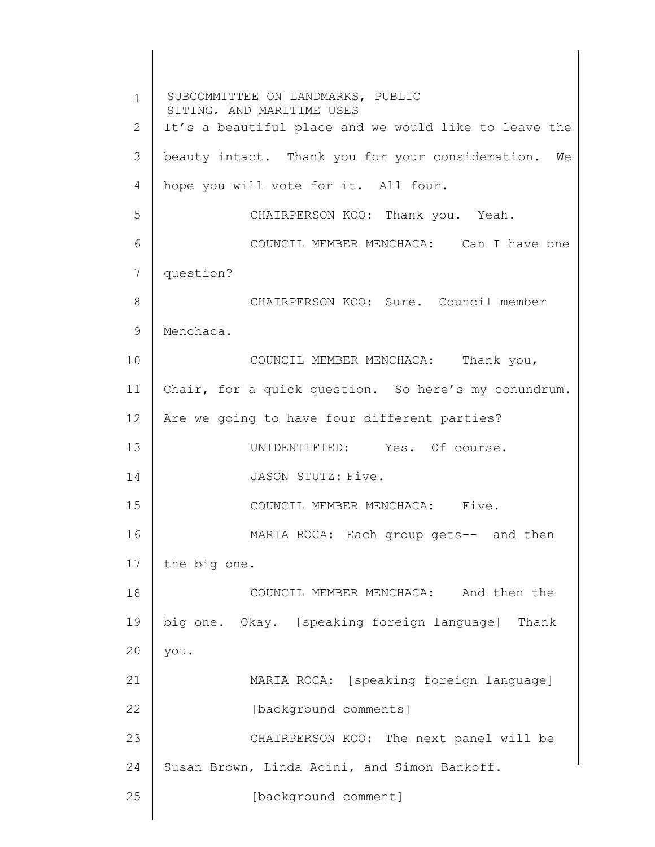1 2 3 4 5 6 7 8 9 10 11 12 13 14 15 16 17 18 19 20 21 22 23 24 25 SUBCOMMITTEE ON LANDMARKS, PUBLIC SITING, AND MARITIME USES It's a beautiful place and we would like to leave the beauty intact. Thank you for your consideration. We hope you will vote for it. All four. CHAIRPERSON KOO: Thank you. Yeah. COUNCIL MEMBER MENCHACA: Can I have one question? CHAIRPERSON KOO: Sure. Council member Menchaca. COUNCIL MEMBER MENCHACA: Thank you, Chair, for a quick question. So here's my conundrum. Are we going to have four different parties? UNIDENTIFIED: Yes. Of course. JASON STUTZ: Five. COUNCIL MEMBER MENCHACA: Five. MARIA ROCA: Each group gets-- and then the big one. COUNCIL MEMBER MENCHACA: And then the big one. Okay. [speaking foreign language] Thank you. MARIA ROCA: [speaking foreign language] [background comments] CHAIRPERSON KOO: The next panel will be Susan Brown, Linda Acini, and Simon Bankoff. [background comment]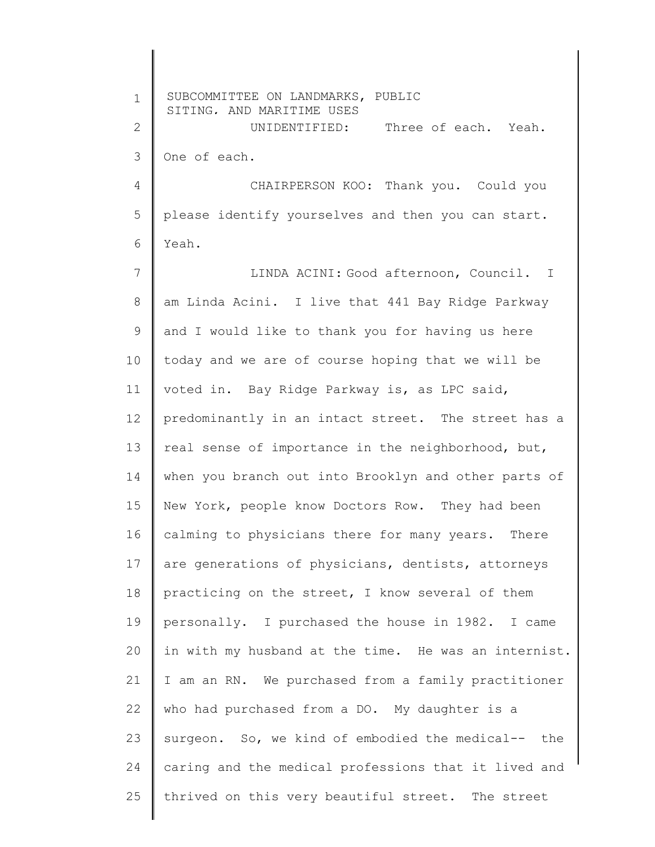| $\mathbf 1$ | SUBCOMMITTEE ON LANDMARKS, PUBLIC<br>SITING, AND MARITIME USES |
|-------------|----------------------------------------------------------------|
| 2           | UNIDENTIFIED: Three of each. Yeah.                             |
| 3           | One of each.                                                   |
| 4           | CHAIRPERSON KOO: Thank you. Could you                          |
| 5           | please identify yourselves and then you can start.             |
| 6           | Yeah.                                                          |
| 7           | LINDA ACINI: Good afternoon, Council. I                        |
| 8           | am Linda Acini. I live that 441 Bay Ridge Parkway              |
| 9           | and I would like to thank you for having us here               |
| 10          | today and we are of course hoping that we will be              |
| 11          | voted in. Bay Ridge Parkway is, as LPC said,                   |
| 12          | predominantly in an intact street. The street has a            |
| 13          | real sense of importance in the neighborhood, but,             |
| 14          | when you branch out into Brooklyn and other parts of           |
| 15          | New York, people know Doctors Row. They had been               |
| 16          | calming to physicians there for many years. There              |
| 17          | are generations of physicians, dentists, attorneys             |
| 18          | practicing on the street, I know several of them               |
| 19          | personally. I purchased the house in 1982. I came              |
| 20          | in with my husband at the time. He was an internist.           |
| 21          | I am an RN. We purchased from a family practitioner            |
| 22          | who had purchased from a DO. My daughter is a                  |
| 23          | surgeon. So, we kind of embodied the medical-- the             |
| 24          | caring and the medical professions that it lived and           |
| 25          | thrived on this very beautiful street. The street              |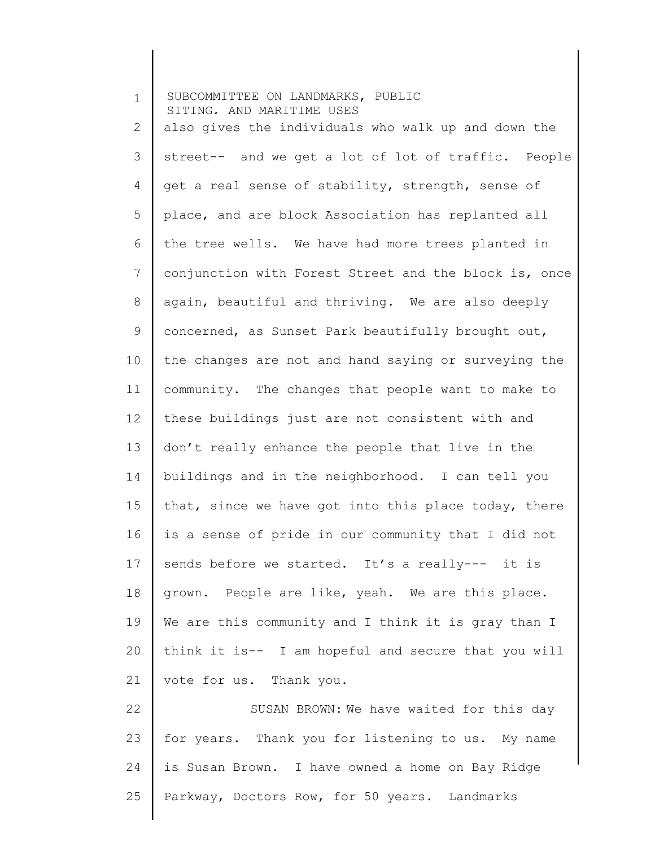| $\mathbf 1$     | SUBCOMMITTEE ON LANDMARKS, PUBLIC<br>SITING, AND MARITIME USES |
|-----------------|----------------------------------------------------------------|
| 2               | also gives the individuals who walk up and down the            |
| 3               | street-- and we get a lot of lot of traffic. People            |
| 4               | get a real sense of stability, strength, sense of              |
| 5               | place, and are block Association has replanted all             |
| 6               | the tree wells. We have had more trees planted in              |
| $7\phantom{.0}$ | conjunction with Forest Street and the block is, once          |
| 8               | again, beautiful and thriving. We are also deeply              |
| 9               | concerned, as Sunset Park beautifully brought out,             |
| 10              | the changes are not and hand saying or surveying the           |
| 11              | community. The changes that people want to make to             |
| 12              | these buildings just are not consistent with and               |
| 13              | don't really enhance the people that live in the               |
| 14              | buildings and in the neighborhood. I can tell you              |
| 15              | that, since we have got into this place today, there           |
| 16              | is a sense of pride in our community that I did not            |
| 17              | sends before we started. It's a really--- it is                |
| 18              | grown. People are like, yeah. We are this place.               |
| 19              | We are this community and I think it is gray than I            |
| 20              | think it is-- I am hopeful and secure that you will            |
| 21              | vote for us. Thank you.                                        |
| 22              | SUSAN BROWN: We have waited for this day                       |
| 23              | for years. Thank you for listening to us. My name              |
| 24              | is Susan Brown. I have owned a home on Bay Ridge               |
| 25              | Parkway, Doctors Row, for 50 years. Landmarks                  |
|                 |                                                                |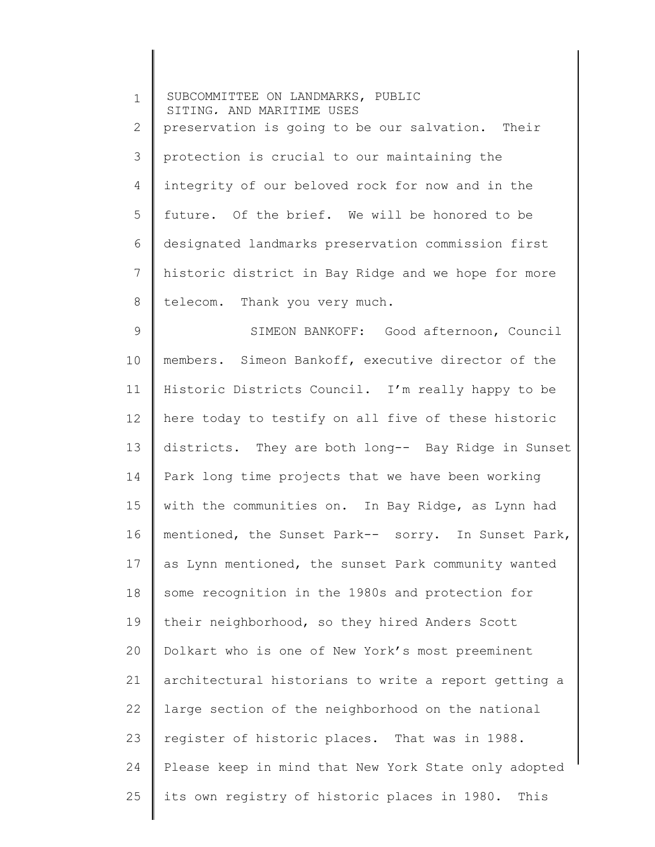1 2 3 4 5 6 7 8 SUBCOMMITTEE ON LANDMARKS, PUBLIC SITING, AND MARITIME USES preservation is going to be our salvation. Their protection is crucial to our maintaining the integrity of our beloved rock for now and in the future. Of the brief. We will be honored to be designated landmarks preservation commission first historic district in Bay Ridge and we hope for more telecom. Thank you very much.

9 10 11 12 13 14 15 16 17 18 19 20 21 22 23 24 25 SIMEON BANKOFF: Good afternoon, Council members. Simeon Bankoff, executive director of the Historic Districts Council. I'm really happy to be here today to testify on all five of these historic districts. They are both long-- Bay Ridge in Sunset Park long time projects that we have been working with the communities on. In Bay Ridge, as Lynn had mentioned, the Sunset Park-- sorry. In Sunset Park, as Lynn mentioned, the sunset Park community wanted some recognition in the 1980s and protection for their neighborhood, so they hired Anders Scott Dolkart who is one of New York's most preeminent architectural historians to write a report getting a large section of the neighborhood on the national register of historic places. That was in 1988. Please keep in mind that New York State only adopted its own registry of historic places in 1980. This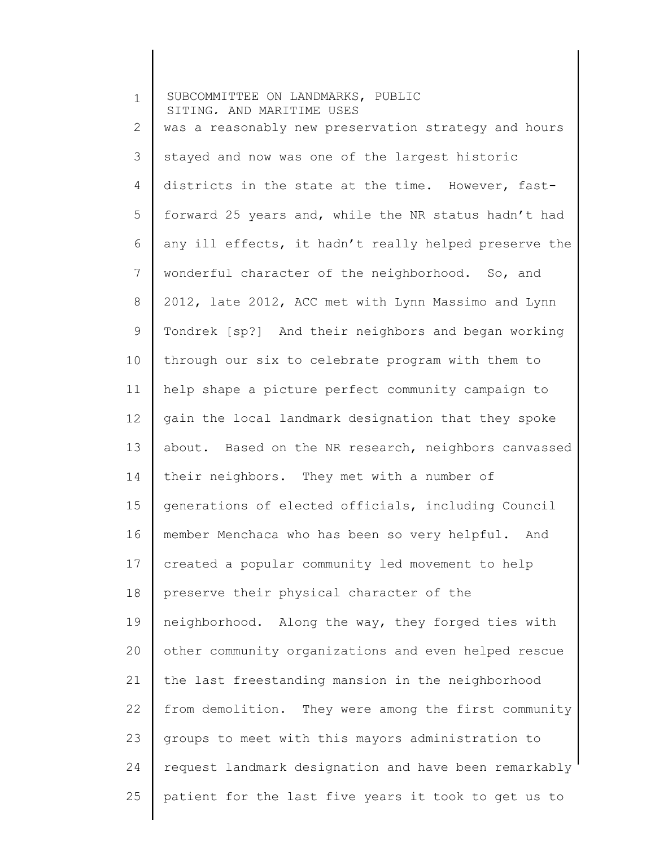| $\mathbf 1$    | SUBCOMMITTEE ON LANDMARKS, PUBLIC<br>SITING, AND MARITIME USES |
|----------------|----------------------------------------------------------------|
| $\mathbf{2}$   | was a reasonably new preservation strategy and hours           |
| 3              | stayed and now was one of the largest historic                 |
| 4              | districts in the state at the time. However, fast-             |
| 5              | forward 25 years and, while the NR status hadn't had           |
| 6              | any ill effects, it hadn't really helped preserve the          |
| $\overline{7}$ | wonderful character of the neighborhood. So, and               |
| 8              | 2012, late 2012, ACC met with Lynn Massimo and Lynn            |
| 9              | Tondrek [sp?] And their neighbors and began working            |
| 10             | through our six to celebrate program with them to              |
| 11             | help shape a picture perfect community campaign to             |
| 12             | gain the local landmark designation that they spoke            |
| 13             | about. Based on the NR research, neighbors canvassed           |
| 14             | their neighbors. They met with a number of                     |
| 15             | generations of elected officials, including Council            |
| 16             | member Menchaca who has been so very helpful. And              |
| 17             | created a popular community led movement to help               |
| 18             | preserve their physical character of the                       |
| 19             | neighborhood. Along the way, they forged ties with             |
| 20             | other community organizations and even helped rescue           |
| 21             | the last freestanding mansion in the neighborhood              |
| 22             | from demolition. They were among the first community           |
| 23             | groups to meet with this mayors administration to              |
| 24             | request landmark designation and have been remarkably          |
| 25             | patient for the last five years it took to get us to           |
|                |                                                                |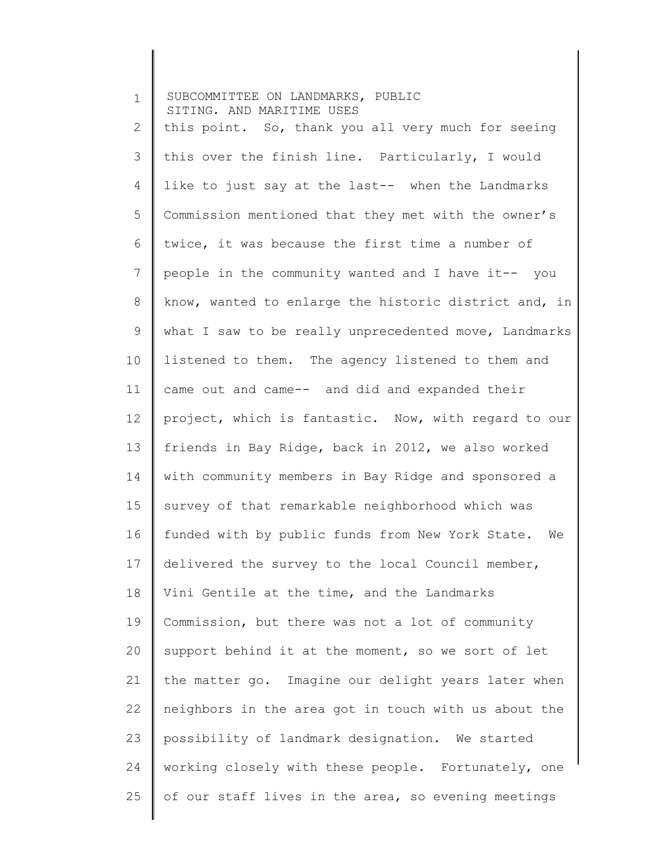| $\mathbf 1$ | SUBCOMMITTEE ON LANDMARKS, PUBLIC<br>SITING, AND MARITIME USES |
|-------------|----------------------------------------------------------------|
| 2           | this point. So, thank you all very much for seeing             |
| 3           | this over the finish line. Particularly, I would               |
| 4           | like to just say at the last-- when the Landmarks              |
| 5           | Commission mentioned that they met with the owner's            |
| 6           | twice, it was because the first time a number of               |
| 7           | people in the community wanted and I have it-- you             |
| 8           | know, wanted to enlarge the historic district and, in          |
| $\mathsf 9$ | what I saw to be really unprecedented move, Landmarks          |
| 10          | listened to them. The agency listened to them and              |
| 11          | came out and came-- and did and expanded their                 |
| 12          | project, which is fantastic. Now, with regard to our           |
| 13          | friends in Bay Ridge, back in 2012, we also worked             |
| 14          | with community members in Bay Ridge and sponsored a            |
| 15          | survey of that remarkable neighborhood which was               |
| 16          | funded with by public funds from New York State. We            |
| 17          | delivered the survey to the local Council member,              |
| 18          | Vini Gentile at the time, and the Landmarks                    |
| 19          | Commission, but there was not a lot of community               |
| 20          | support behind it at the moment, so we sort of let             |
| 21          | the matter go. Imagine our delight years later when            |
| 22          | neighbors in the area got in touch with us about the           |
| 23          | possibility of landmark designation. We started                |
| 24          | working closely with these people. Fortunately, one            |
| 25          | of our staff lives in the area, so evening meetings            |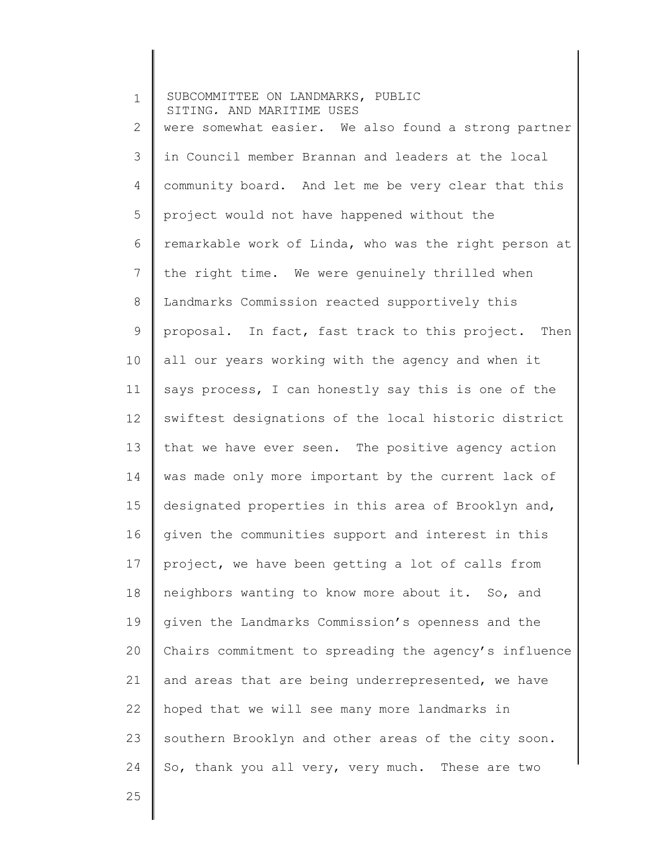1 2 3 4 5 6 7 8 9 10 11 12 13 14 15 16 17 18 19 20 21 22 23 24 SUBCOMMITTEE ON LANDMARKS, PUBLIC SITING, AND MARITIME USES were somewhat easier. We also found a strong partner in Council member Brannan and leaders at the local community board. And let me be very clear that this project would not have happened without the remarkable work of Linda, who was the right person at the right time. We were genuinely thrilled when Landmarks Commission reacted supportively this proposal. In fact, fast track to this project. Then all our years working with the agency and when it says process, I can honestly say this is one of the swiftest designations of the local historic district that we have ever seen. The positive agency action was made only more important by the current lack of designated properties in this area of Brooklyn and, given the communities support and interest in this project, we have been getting a lot of calls from neighbors wanting to know more about it. So, and given the Landmarks Commission's openness and the Chairs commitment to spreading the agency's influence and areas that are being underrepresented, we have hoped that we will see many more landmarks in southern Brooklyn and other areas of the city soon. So, thank you all very, very much. These are two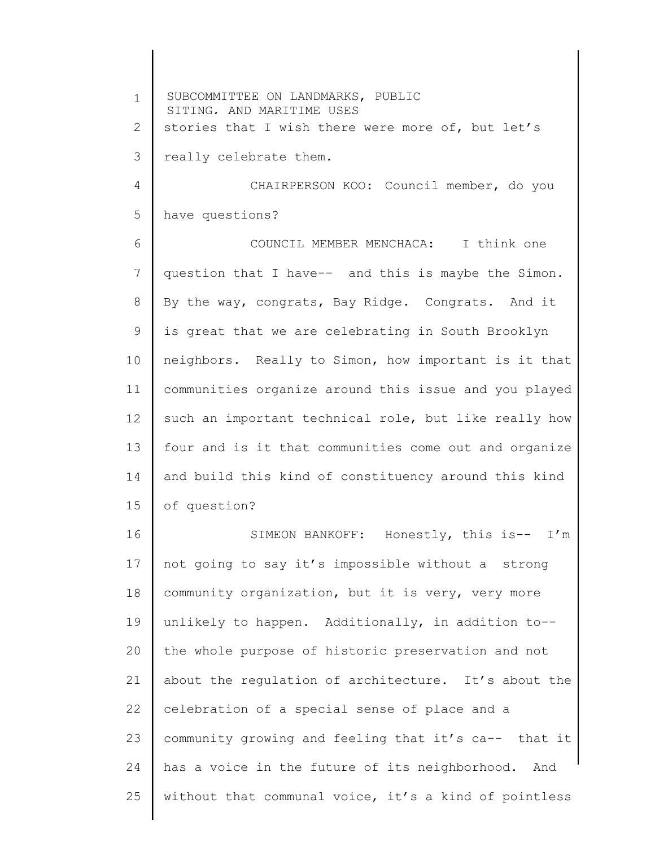1 2 3 4 5 6 7 8 9 10 11 12 13 14 15 16 17 18 19 20 21 22 23 24 25 SUBCOMMITTEE ON LANDMARKS, PUBLIC SITING, AND MARITIME USES stories that I wish there were more of, but let's really celebrate them. CHAIRPERSON KOO: Council member, do you have questions? COUNCIL MEMBER MENCHACA: I think one question that I have-- and this is maybe the Simon. By the way, congrats, Bay Ridge. Congrats. And it is great that we are celebrating in South Brooklyn neighbors. Really to Simon, how important is it that communities organize around this issue and you played such an important technical role, but like really how four and is it that communities come out and organize and build this kind of constituency around this kind of question? SIMEON BANKOFF: Honestly, this is-- I'm not going to say it's impossible without a strong community organization, but it is very, very more unlikely to happen. Additionally, in addition to- the whole purpose of historic preservation and not about the regulation of architecture. It's about the celebration of a special sense of place and a community growing and feeling that it's ca-- that it has a voice in the future of its neighborhood. And without that communal voice, it's a kind of pointless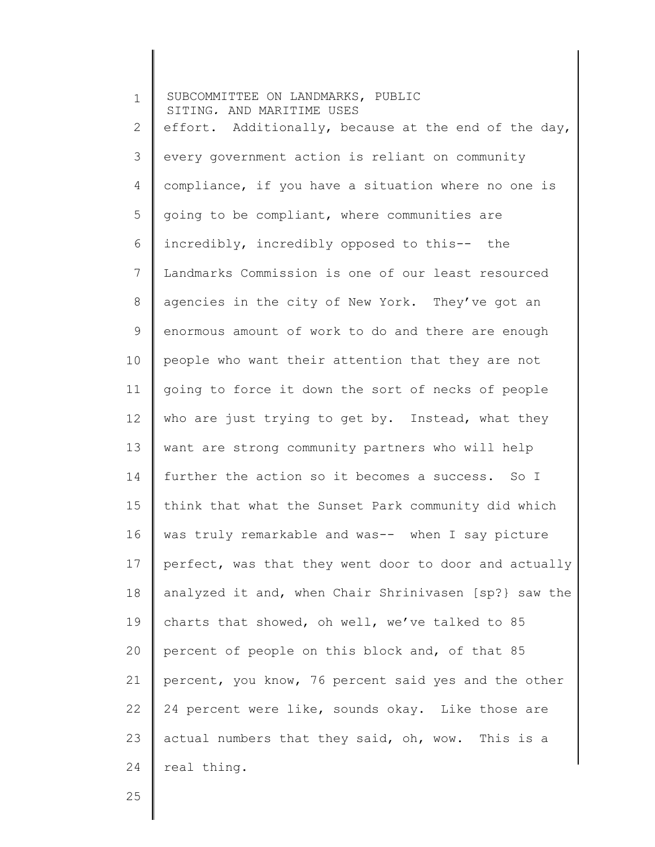1 2 3 4 5 6 7 8 9 10 11 12 13 14 15 16 17 18 19 20 21 22 23 24 SUBCOMMITTEE ON LANDMARKS, PUBLIC SITING, AND MARITIME USES effort. Additionally, because at the end of the day, every government action is reliant on community compliance, if you have a situation where no one is going to be compliant, where communities are incredibly, incredibly opposed to this-- the Landmarks Commission is one of our least resourced agencies in the city of New York. They've got an enormous amount of work to do and there are enough people who want their attention that they are not going to force it down the sort of necks of people who are just trying to get by. Instead, what they want are strong community partners who will help further the action so it becomes a success. So I think that what the Sunset Park community did which was truly remarkable and was-- when I say picture perfect, was that they went door to door and actually analyzed it and, when Chair Shrinivasen [sp?} saw the charts that showed, oh well, we've talked to 85 percent of people on this block and, of that 85 percent, you know, 76 percent said yes and the other 24 percent were like, sounds okay. Like those are actual numbers that they said, oh, wow. This is a real thing.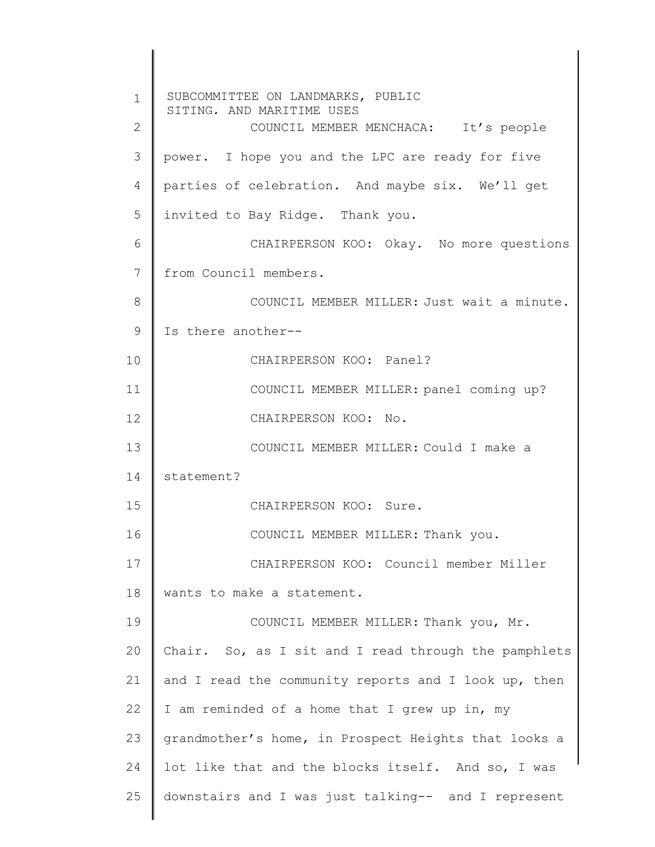1 2 3 4 5 6 7 8 9 10 11 12 13 14 15 16 17 18 19 20 21 22 23 24 25 SUBCOMMITTEE ON LANDMARKS, PUBLIC SITING, AND MARITIME USES COUNCIL MEMBER MENCHACA: It's people power. I hope you and the LPC are ready for five parties of celebration. And maybe six. We'll get invited to Bay Ridge. Thank you. CHAIRPERSON KOO: Okay. No more questions from Council members. COUNCIL MEMBER MILLER: Just wait a minute. Is there another-- CHAIRPERSON KOO: Panel? COUNCIL MEMBER MILLER: panel coming up? CHAIRPERSON KOO: No. COUNCIL MEMBER MILLER: Could I make a statement? CHAIRPERSON KOO: Sure. COUNCIL MEMBER MILLER: Thank you. CHAIRPERSON KOO: Council member Miller wants to make a statement. COUNCIL MEMBER MILLER: Thank you, Mr. Chair. So, as I sit and I read through the pamphlets and I read the community reports and I look up, then I am reminded of a home that I grew up in, my grandmother's home, in Prospect Heights that looks a lot like that and the blocks itself. And so, I was downstairs and I was just talking-- and I represent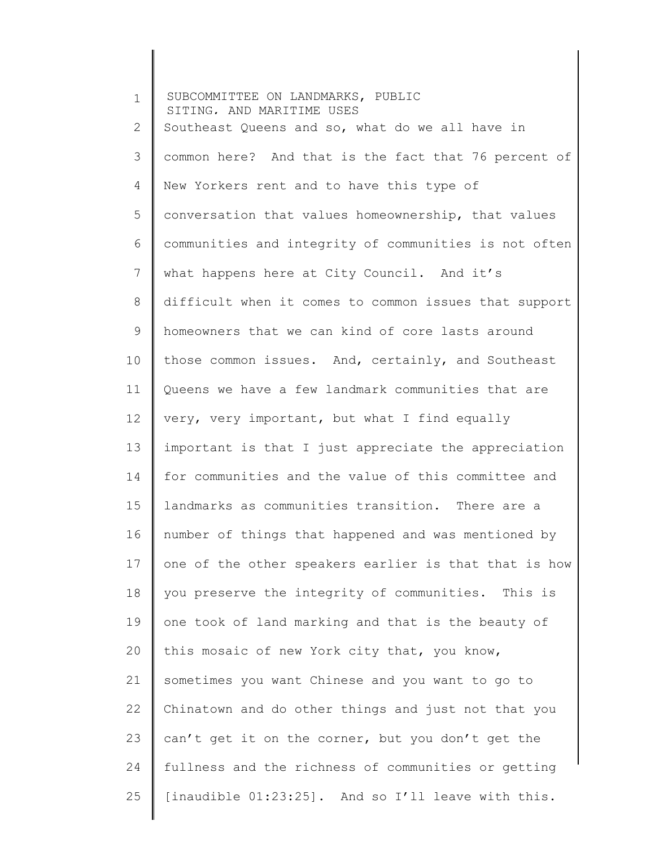1 2 3 4 5 6 7 8 9 10 11 12 13 14 15 16 17 18 19 20 21 22 23 24 25 SUBCOMMITTEE ON LANDMARKS, PUBLIC SITING, AND MARITIME USES Southeast Queens and so, what do we all have in common here? And that is the fact that 76 percent of New Yorkers rent and to have this type of conversation that values homeownership, that values communities and integrity of communities is not often what happens here at City Council. And it's difficult when it comes to common issues that support homeowners that we can kind of core lasts around those common issues. And, certainly, and Southeast Queens we have a few landmark communities that are very, very important, but what I find equally important is that I just appreciate the appreciation for communities and the value of this committee and landmarks as communities transition. There are a number of things that happened and was mentioned by one of the other speakers earlier is that that is how you preserve the integrity of communities. This is one took of land marking and that is the beauty of this mosaic of new York city that, you know, sometimes you want Chinese and you want to go to Chinatown and do other things and just not that you can't get it on the corner, but you don't get the fullness and the richness of communities or getting [inaudible 01:23:25]. And so I'll leave with this.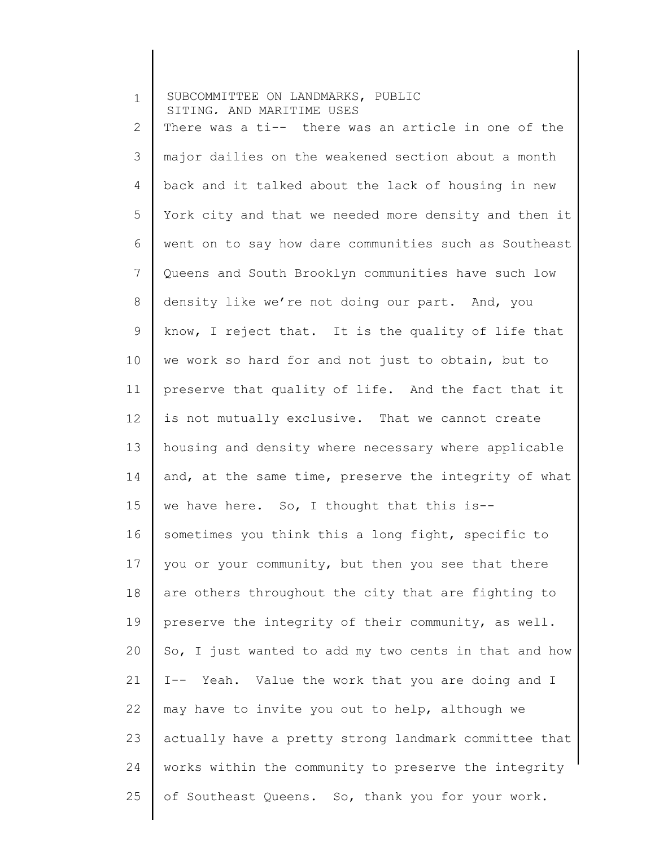| $\mathbf 1$    | SUBCOMMITTEE ON LANDMARKS, PUBLIC<br>SITING. AND MARITIME USES |
|----------------|----------------------------------------------------------------|
| $\mathbf{2}$   | There was a ti-- there was an article in one of the            |
| $\mathfrak{Z}$ | major dailies on the weakened section about a month            |
| 4              | back and it talked about the lack of housing in new            |
| 5              | York city and that we needed more density and then it          |
| 6              | went on to say how dare communities such as Southeast          |
| 7              | Queens and South Brooklyn communities have such low            |
| 8              | density like we're not doing our part. And, you                |
| $\mathsf 9$    | know, I reject that. It is the quality of life that            |
| 10             | we work so hard for and not just to obtain, but to             |
| 11             | preserve that quality of life. And the fact that it            |
| 12             | is not mutually exclusive. That we cannot create               |
| 13             | housing and density where necessary where applicable           |
| 14             | and, at the same time, preserve the integrity of what          |
| 15             | we have here. So, I thought that this is--                     |
| 16             | sometimes you think this a long fight, specific to             |
| 17             | you or your community, but then you see that there             |
| 18             | are others throughout the city that are fighting to            |
| 19             | preserve the integrity of their community, as well.            |
| 20             | So, I just wanted to add my two cents in that and how          |
| 21             | I-- Yeah. Value the work that you are doing and I              |
| 22             | may have to invite you out to help, although we                |
| 23             | actually have a pretty strong landmark committee that          |
| 24             | works within the community to preserve the integrity           |
| 25             | of Southeast Queens. So, thank you for your work.              |
|                |                                                                |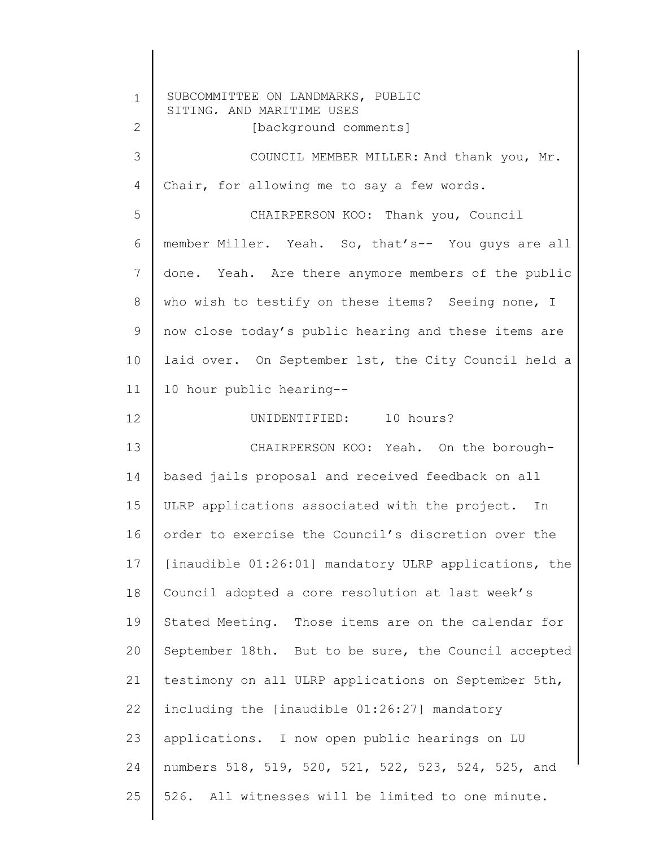1 2 3 4 5 6 7 8 9 10 11 12 13 14 15 16 17 18 19 20 21 22 23 24 25 SUBCOMMITTEE ON LANDMARKS, PUBLIC SITING, AND MARITIME USES [background comments] COUNCIL MEMBER MILLER: And thank you, Mr. Chair, for allowing me to say a few words. CHAIRPERSON KOO: Thank you, Council member Miller. Yeah. So, that's-- You guys are all done. Yeah. Are there anymore members of the public who wish to testify on these items? Seeing none, I now close today's public hearing and these items are laid over. On September 1st, the City Council held a 10 hour public hearing-- UNIDENTIFIED: 10 hours? CHAIRPERSON KOO: Yeah. On the boroughbased jails proposal and received feedback on all ULRP applications associated with the project. In order to exercise the Council's discretion over the [inaudible 01:26:01] mandatory ULRP applications, the Council adopted a core resolution at last week's Stated Meeting. Those items are on the calendar for September 18th. But to be sure, the Council accepted testimony on all ULRP applications on September 5th, including the [inaudible 01:26:27] mandatory applications. I now open public hearings on LU numbers 518, 519, 520, 521, 522, 523, 524, 525, and 526. All witnesses will be limited to one minute.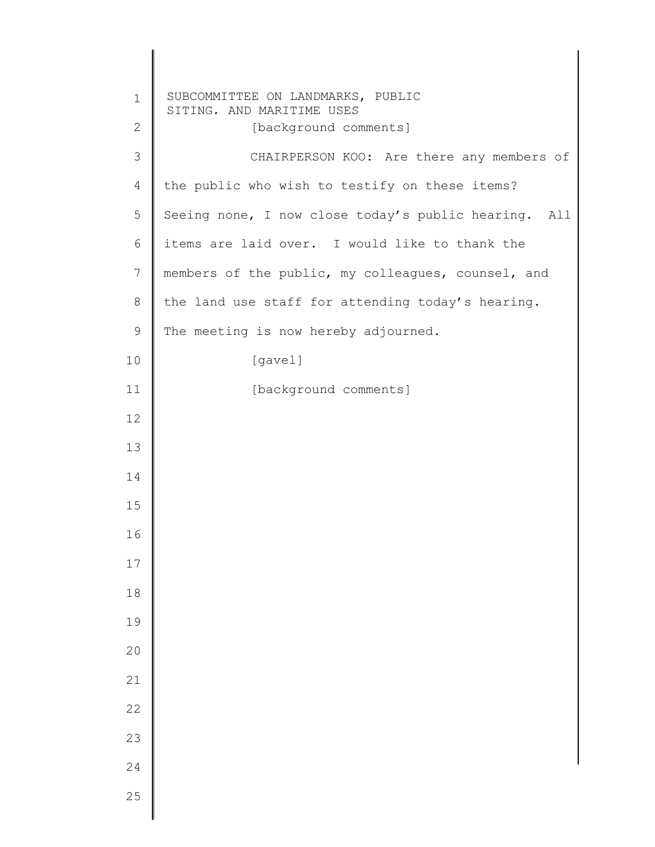| SUBCOMMITTEE ON LANDMARKS, PUBLIC<br>$\mathbf 1$<br>SITING, AND MARITIME USES<br>$\mathbf{2}$<br>[background comments]<br>$\mathfrak{Z}$<br>CHAIRPERSON KOO: Are there any members of<br>$\overline{4}$<br>the public who wish to testify on these items?<br>5<br>Seeing none, I now close today's public hearing. All<br>$\epsilon$<br>items are laid over. I would like to thank the<br>$7\phantom{.}$<br>members of the public, my colleagues, counsel, and<br>$\,8\,$<br>the land use staff for attending today's hearing.<br>$\mathsf 9$<br>The meeting is now hereby adjourned.<br>10<br>[gavel]<br>11<br>[background comments]<br>16<br>17<br>18<br>19<br>20<br>21<br>22<br>23<br>24<br>25 |    |  |
|---------------------------------------------------------------------------------------------------------------------------------------------------------------------------------------------------------------------------------------------------------------------------------------------------------------------------------------------------------------------------------------------------------------------------------------------------------------------------------------------------------------------------------------------------------------------------------------------------------------------------------------------------------------------------------------------------|----|--|
|                                                                                                                                                                                                                                                                                                                                                                                                                                                                                                                                                                                                                                                                                                   |    |  |
|                                                                                                                                                                                                                                                                                                                                                                                                                                                                                                                                                                                                                                                                                                   |    |  |
|                                                                                                                                                                                                                                                                                                                                                                                                                                                                                                                                                                                                                                                                                                   |    |  |
|                                                                                                                                                                                                                                                                                                                                                                                                                                                                                                                                                                                                                                                                                                   |    |  |
|                                                                                                                                                                                                                                                                                                                                                                                                                                                                                                                                                                                                                                                                                                   |    |  |
|                                                                                                                                                                                                                                                                                                                                                                                                                                                                                                                                                                                                                                                                                                   |    |  |
|                                                                                                                                                                                                                                                                                                                                                                                                                                                                                                                                                                                                                                                                                                   |    |  |
|                                                                                                                                                                                                                                                                                                                                                                                                                                                                                                                                                                                                                                                                                                   |    |  |
|                                                                                                                                                                                                                                                                                                                                                                                                                                                                                                                                                                                                                                                                                                   |    |  |
|                                                                                                                                                                                                                                                                                                                                                                                                                                                                                                                                                                                                                                                                                                   |    |  |
|                                                                                                                                                                                                                                                                                                                                                                                                                                                                                                                                                                                                                                                                                                   |    |  |
|                                                                                                                                                                                                                                                                                                                                                                                                                                                                                                                                                                                                                                                                                                   | 12 |  |
|                                                                                                                                                                                                                                                                                                                                                                                                                                                                                                                                                                                                                                                                                                   | 13 |  |
|                                                                                                                                                                                                                                                                                                                                                                                                                                                                                                                                                                                                                                                                                                   | 14 |  |
|                                                                                                                                                                                                                                                                                                                                                                                                                                                                                                                                                                                                                                                                                                   | 15 |  |
|                                                                                                                                                                                                                                                                                                                                                                                                                                                                                                                                                                                                                                                                                                   |    |  |
|                                                                                                                                                                                                                                                                                                                                                                                                                                                                                                                                                                                                                                                                                                   |    |  |
|                                                                                                                                                                                                                                                                                                                                                                                                                                                                                                                                                                                                                                                                                                   |    |  |
|                                                                                                                                                                                                                                                                                                                                                                                                                                                                                                                                                                                                                                                                                                   |    |  |
|                                                                                                                                                                                                                                                                                                                                                                                                                                                                                                                                                                                                                                                                                                   |    |  |
|                                                                                                                                                                                                                                                                                                                                                                                                                                                                                                                                                                                                                                                                                                   |    |  |
|                                                                                                                                                                                                                                                                                                                                                                                                                                                                                                                                                                                                                                                                                                   |    |  |
|                                                                                                                                                                                                                                                                                                                                                                                                                                                                                                                                                                                                                                                                                                   |    |  |
|                                                                                                                                                                                                                                                                                                                                                                                                                                                                                                                                                                                                                                                                                                   |    |  |
|                                                                                                                                                                                                                                                                                                                                                                                                                                                                                                                                                                                                                                                                                                   |    |  |